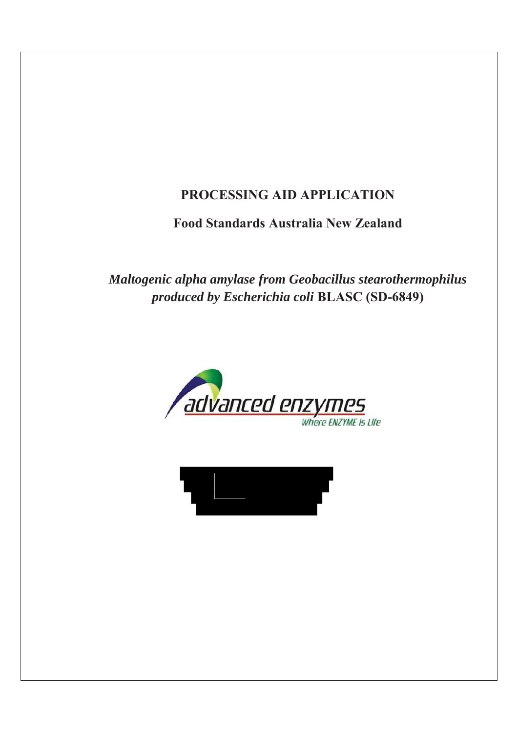# **PROCESSING AID APPLICATION**

# **Food Standards Australia New Zealand**

*Maltogenic alpha amylase from Geobacillus stearothermophilus produced by Escherichia coli* **BLASC (SD-6849)** 



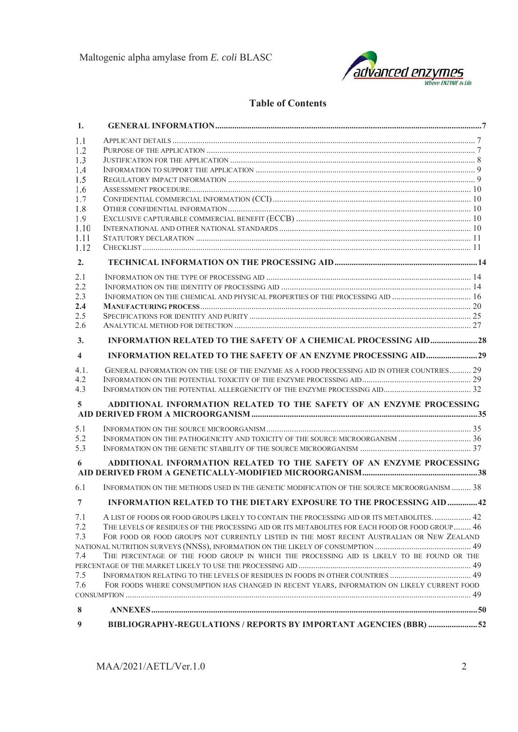

### **Table of Contents**

| 1.                      |                                                                                                 |  |
|-------------------------|-------------------------------------------------------------------------------------------------|--|
| 1.1                     |                                                                                                 |  |
| 1.2                     |                                                                                                 |  |
| 1.3                     |                                                                                                 |  |
| 1.4                     |                                                                                                 |  |
| 1.5                     |                                                                                                 |  |
| 1.6                     |                                                                                                 |  |
| 1.7                     |                                                                                                 |  |
| 1.8                     |                                                                                                 |  |
| 1.9                     |                                                                                                 |  |
| 1.10                    |                                                                                                 |  |
| 1.11                    |                                                                                                 |  |
| 1.12                    |                                                                                                 |  |
| 2.                      |                                                                                                 |  |
| 2.1                     |                                                                                                 |  |
| 2.2                     |                                                                                                 |  |
| 2.3                     |                                                                                                 |  |
| 2.4                     |                                                                                                 |  |
| 2.5                     |                                                                                                 |  |
| 2.6                     |                                                                                                 |  |
| 3.                      |                                                                                                 |  |
| $\overline{\mathbf{4}}$ |                                                                                                 |  |
| 4.1.                    | GENERAL INFORMATION ON THE USE OF THE ENZYME AS A FOOD PROCESSING AID IN OTHER COUNTRIES 29     |  |
| 4.2                     |                                                                                                 |  |
| 4.3                     |                                                                                                 |  |
| 5                       | ADDITIONAL INFORMATION RELATED TO THE SAFETY OF AN ENZYME PROCESSING                            |  |
|                         |                                                                                                 |  |
| 5.1                     |                                                                                                 |  |
| 5.2                     | INFORMATION ON THE PATHOGENICITY AND TOXICITY OF THE SOURCE MICROORGANISM  36                   |  |
| 5.3                     |                                                                                                 |  |
| 6                       | ADDITIONAL INFORMATION RELATED TO THE SAFETY OF AN ENZYME PROCESSING                            |  |
|                         |                                                                                                 |  |
| 6.1                     | INFORMATION ON THE METHODS USED IN THE GENETIC MODIFICATION OF THE SOURCE MICROORGANISM  38     |  |
| 7                       | INFORMATION RELATED TO THE DIETARY EXPOSURE TO THE PROCESSING AID  42                           |  |
| 7.1                     | A LIST OF FOODS OR FOOD GROUPS LIKELY TO CONTAIN THE PROCESSING AID OR ITS METABOLITES.  42     |  |
| 7.2                     | THE LEVELS OF RESIDUES OF THE PROCESSING AID OR ITS METABOLITES FOR EACH FOOD OR FOOD GROUP  46 |  |
| 7.3                     | FOR FOOD OR FOOD GROUPS NOT CURRENTLY LISTED IN THE MOST RECENT AUSTRALIAN OR NEW ZEALAND       |  |
|                         |                                                                                                 |  |
| 7.4                     | THE PERCENTAGE OF THE FOOD GROUP IN WHICH THE PROCESSING AID IS LIKELY TO BE FOUND OR THE       |  |
|                         |                                                                                                 |  |
| 7.5                     | INFORMATION RELATING TO THE LEVELS OF RESIDUES IN FOODS IN OTHER COUNTRIES 49                   |  |
| 7.6                     | FOR FOODS WHERE CONSUMPTION HAS CHANGED IN RECENT YEARS, INFORMATION ON LIKELY CURRENT FOOD     |  |
|                         |                                                                                                 |  |
| 8                       |                                                                                                 |  |
| 9                       | BIBLIOGRAPHY-REGULATIONS / REPORTS BY IMPORTANT AGENCIES (BBR) 52                               |  |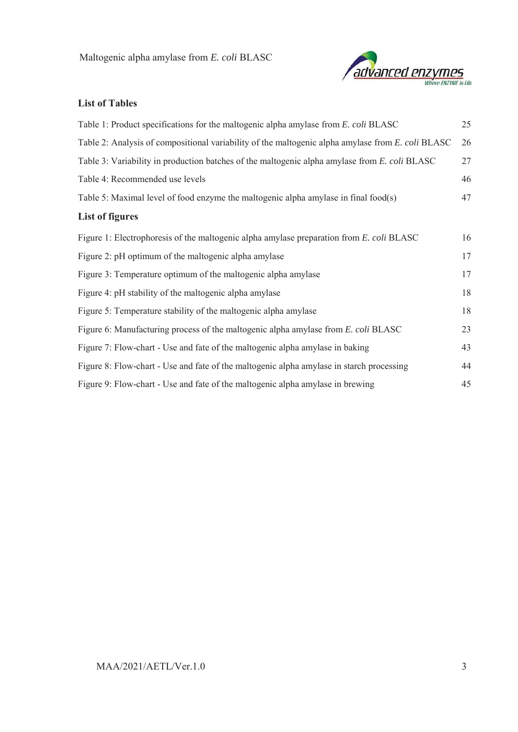

# **List of Tables**

| Table 1: Product specifications for the maltogenic alpha amylase from E. coli BLASC               | 25 |
|---------------------------------------------------------------------------------------------------|----|
| Table 2: Analysis of compositional variability of the maltogenic alpha amylase from E. coli BLASC | 26 |
| Table 3: Variability in production batches of the maltogenic alpha amylase from E. coli BLASC     | 27 |
| Table 4: Recommended use levels                                                                   | 46 |
| Table 5: Maximal level of food enzyme the maltogenic alpha amylase in final food(s)               | 47 |
| <b>List of figures</b>                                                                            |    |
| Figure 1: Electrophoresis of the maltogenic alpha amylase preparation from E. coli BLASC          | 16 |
| Figure 2: pH optimum of the maltogenic alpha amylase                                              | 17 |
| Figure 3: Temperature optimum of the maltogenic alpha amylase                                     | 17 |
| Figure 4: pH stability of the maltogenic alpha amylase                                            | 18 |
| Figure 5: Temperature stability of the maltogenic alpha amylase                                   | 18 |
| Figure 6: Manufacturing process of the maltogenic alpha amylase from E. coli BLASC                | 23 |
| Figure 7: Flow-chart - Use and fate of the maltogenic alpha amylase in baking                     | 43 |
| Figure 8: Flow-chart - Use and fate of the maltogenic alpha amylase in starch processing          | 44 |
| Figure 9: Flow-chart - Use and fate of the maltogenic alpha amylase in brewing                    | 45 |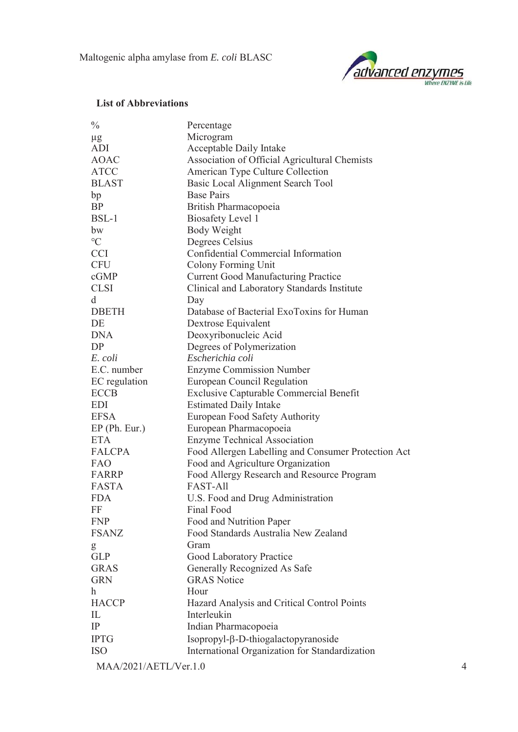

#### **List of Abbreviations**

| $\frac{0}{0}$   | Percentage                                          |
|-----------------|-----------------------------------------------------|
| $\mu$ g         | Microgram                                           |
| ADI             | Acceptable Daily Intake                             |
| <b>AOAC</b>     | Association of Official Agricultural Chemists       |
| <b>ATCC</b>     | American Type Culture Collection                    |
| <b>BLAST</b>    | Basic Local Alignment Search Tool                   |
| bp              | <b>Base Pairs</b>                                   |
| <b>BP</b>       | British Pharmacopoeia                               |
| $BSL-1$         | <b>Biosafety Level 1</b>                            |
| bw              | <b>Body Weight</b>                                  |
| $\rm ^{\circ}C$ | Degrees Celsius                                     |
| <b>CCI</b>      | Confidential Commercial Information                 |
| <b>CFU</b>      | <b>Colony Forming Unit</b>                          |
| cGMP            | <b>Current Good Manufacturing Practice</b>          |
| <b>CLSI</b>     | Clinical and Laboratory Standards Institute         |
| d               | Day                                                 |
| <b>DBETH</b>    | Database of Bacterial ExoToxins for Human           |
| DE              | Dextrose Equivalent                                 |
| <b>DNA</b>      | Deoxyribonucleic Acid                               |
| DP              | Degrees of Polymerization                           |
| E. coli         | Escherichia coli                                    |
| E.C. number     | <b>Enzyme Commission Number</b>                     |
| EC regulation   | European Council Regulation                         |
| <b>ECCB</b>     | <b>Exclusive Capturable Commercial Benefit</b>      |
| EDI             | <b>Estimated Daily Intake</b>                       |
| <b>EFSA</b>     | European Food Safety Authority                      |
| EP (Ph. Eur.)   | European Pharmacopoeia                              |
| <b>ETA</b>      | <b>Enzyme Technical Association</b>                 |
| <b>FALCPA</b>   | Food Allergen Labelling and Consumer Protection Act |
| FAO             | Food and Agriculture Organization                   |
| FARRP           | Food Allergy Research and Resource Program          |
| <b>FASTA</b>    | FAST-All                                            |
| <b>FDA</b>      | U.S. Food and Drug Administration                   |
| FF              | Final Food                                          |
| <b>FNP</b>      | Food and Nutrition Paper                            |
| <b>FSANZ</b>    | Food Standards Australia New Zealand                |
| g               | Gram                                                |
| <b>GLP</b>      | Good Laboratory Practice                            |
| <b>GRAS</b>     | Generally Recognized As Safe                        |
| <b>GRN</b>      | <b>GRAS Notice</b>                                  |
| $\mathbf{h}$    | Hour                                                |
| <b>HACCP</b>    | Hazard Analysis and Critical Control Points         |
| IL              | Interleukin                                         |
| IP              | Indian Pharmacopoeia                                |
| <b>IPTG</b>     | Isopropyl-β-D-thiogalactopyranoside                 |
| <b>ISO</b>      | International Organization for Standardization      |
|                 |                                                     |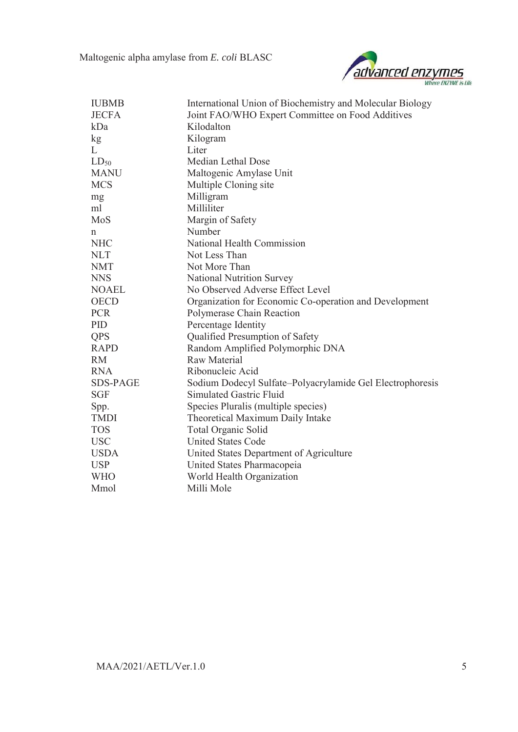

| <b>IUBMB</b>    | International Union of Biochemistry and Molecular Biology |
|-----------------|-----------------------------------------------------------|
| <b>JECFA</b>    | Joint FAO/WHO Expert Committee on Food Additives          |
| kDa             | Kilodalton                                                |
| kg              | Kilogram                                                  |
| L               | Liter                                                     |
| $LD_{50}$       | Median Lethal Dose                                        |
| <b>MANU</b>     | Maltogenic Amylase Unit                                   |
| <b>MCS</b>      | Multiple Cloning site                                     |
| mg              | Milligram                                                 |
| ml              | Milliliter                                                |
| MoS             | Margin of Safety                                          |
| n               | Number                                                    |
| <b>NHC</b>      | National Health Commission                                |
| <b>NLT</b>      | Not Less Than                                             |
| <b>NMT</b>      | Not More Than                                             |
| <b>NNS</b>      | <b>National Nutrition Survey</b>                          |
| <b>NOAEL</b>    | No Observed Adverse Effect Level                          |
| <b>OECD</b>     | Organization for Economic Co-operation and Development    |
| <b>PCR</b>      | Polymerase Chain Reaction                                 |
| PID             | Percentage Identity                                       |
| <b>QPS</b>      | Qualified Presumption of Safety                           |
| <b>RAPD</b>     | Random Amplified Polymorphic DNA                          |
| <b>RM</b>       | <b>Raw Material</b>                                       |
| <b>RNA</b>      | Ribonucleic Acid                                          |
| <b>SDS-PAGE</b> | Sodium Dodecyl Sulfate-Polyacrylamide Gel Electrophoresis |
| <b>SGF</b>      | Simulated Gastric Fluid                                   |
| Spp.            | Species Pluralis (multiple species)                       |
| <b>TMDI</b>     | Theoretical Maximum Daily Intake                          |
| <b>TOS</b>      | <b>Total Organic Solid</b>                                |
| <b>USC</b>      | <b>United States Code</b>                                 |
| <b>USDA</b>     | United States Department of Agriculture                   |
| <b>USP</b>      | United States Pharmacopeia                                |
| <b>WHO</b>      | World Health Organization                                 |
| Mmol            | Milli Mole                                                |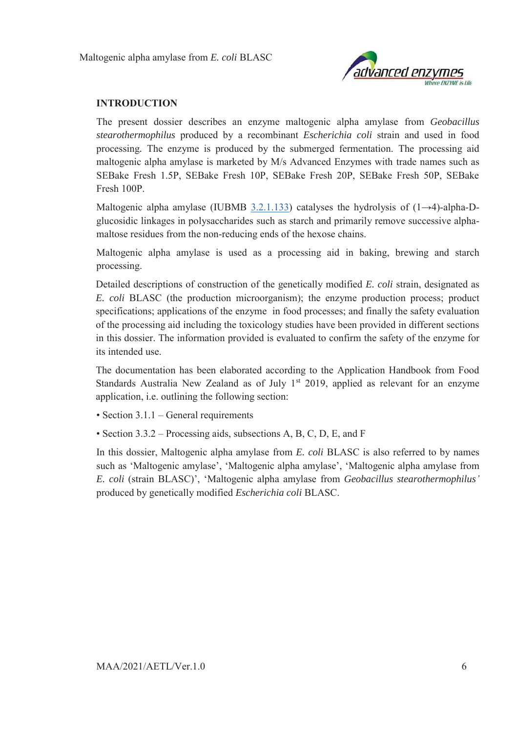

#### **INTRODUCTION**

The present dossier describes an enzyme maltogenic alpha amylase from *Geobacillus stearothermophilus* produced by a recombinant *Escherichia coli* strain and used in food processing*.* The enzyme is produced by the submerged fermentation. The processing aid maltogenic alpha amylase is marketed by M/s Advanced Enzymes with trade names such as SEBake Fresh 1.5P, SEBake Fresh 10P, SEBake Fresh 20P, SEBake Fresh 50P, SEBake Fresh 100P.

Maltogenic alpha amylase (IUBMB  $3.2.1.133$ ) catalyses the hydrolysis of (1→4)-alpha-Dglucosidic linkages in polysaccharides such as starch and primarily remove successive alphamaltose residues from the non-reducing ends of the hexose chains.

Maltogenic alpha amylase is used as a processing aid in baking, brewing and starch processing.

Detailed descriptions of construction of the genetically modified *E. coli* strain, designated as *E. coli* BLASC (the production microorganism); the enzyme production process; product specifications; applications of the enzyme in food processes; and finally the safety evaluation of the processing aid including the toxicology studies have been provided in different sections in this dossier. The information provided is evaluated to confirm the safety of the enzyme for its intended use.

The documentation has been elaborated according to the Application Handbook from Food Standards Australia New Zealand as of July  $1<sup>st</sup>$  2019, applied as relevant for an enzyme application, i.e. outlining the following section:

- Section 3.1.1 General requirements
- Section 3.3.2 Processing aids, subsections A, B, C, D, E, and F

In this dossier, Maltogenic alpha amylase from *E. coli* BLASC is also referred to by names such as 'Maltogenic amylase', 'Maltogenic alpha amylase', 'Maltogenic alpha amylase from *E. coli* (strain BLASC)', 'Maltogenic alpha amylase from *Geobacillus stearothermophilus'* produced by genetically modified *Escherichia coli* BLASC.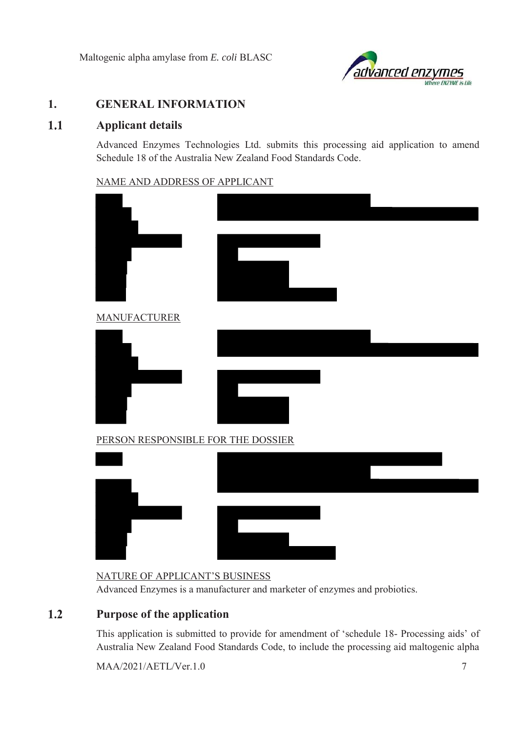

# **1. GENERAL INFORMATION**

#### $1.1$ **Applicant details**

Advanced Enzymes Technologies Ltd. submits this processing aid application to amend Schedule 18 of the Australia New Zealand Food Standards Code.

#### NAME AND ADDRESS OF APPLICANT

| <b>MANUFACTURER</b>                |  |
|------------------------------------|--|
|                                    |  |
|                                    |  |
|                                    |  |
|                                    |  |
| PERSON RESPONSIBLE FOR THE DOSSIER |  |
|                                    |  |
|                                    |  |
|                                    |  |
|                                    |  |
|                                    |  |

### NATURE OF APPLICANT'S BUSINESS

Advanced Enzymes is a manufacturer and marketer of enzymes and probiotics.

#### $1.2$ **Purpose of the application**

This application is submitted to provide for amendment of 'schedule 18- Processing aids' of Australia New Zealand Food Standards Code, to include the processing aid maltogenic alpha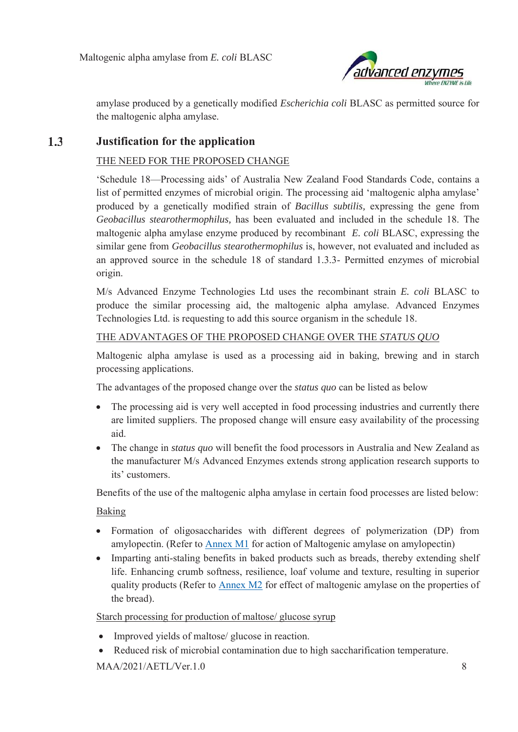

amylase produced by a genetically modified *Escherichia coli* BLASC as permitted source for the maltogenic alpha amylase.

#### $1.3$ **Justification for the application**

#### THE NEED FOR THE PROPOSED CHANGE

'Schedule 18—Processing aids' of Australia New Zealand Food Standards Code, contains a list of permitted enzymes of microbial origin. The processing aid 'maltogenic alpha amylase' produced by a genetically modified strain of *Bacillus subtilis,* expressing the gene from *Geobacillus stearothermophilus,* has been evaluated and included in the schedule 18. The maltogenic alpha amylase enzyme produced by recombinant *E. coli* BLASC, expressing the similar gene from *Geobacillus stearothermophilus* is, however, not evaluated and included as an approved source in the schedule 18 of standard 1.3.3- Permitted enzymes of microbial origin.

M/s Advanced Enzyme Technologies Ltd uses the recombinant strain *E. coli* BLASC to produce the similar processing aid, the maltogenic alpha amylase. Advanced Enzymes Technologies Ltd. is requesting to add this source organism in the schedule 18.

### THE ADVANTAGES OF THE PROPOSED CHANGE OVER THE *STATUS QUO*

Maltogenic alpha amylase is used as a processing aid in baking, brewing and in starch processing applications.

The advantages of the proposed change over the *status quo* can be listed as below

- The processing aid is very well accepted in food processing industries and currently there are limited suppliers. The proposed change will ensure easy availability of the processing aid.
- The change in *status quo* will benefit the food processors in Australia and New Zealand as the manufacturer M/s Advanced Enzymes extends strong application research supports to its' customers.

Benefits of the use of the maltogenic alpha amylase in certain food processes are listed below:

Baking

- Formation of oligosaccharides with different degrees of polymerization (DP) from amylopectin. (Refer to Annex M1 for action of Maltogenic amylase on amylopectin)
- Imparting anti-staling benefits in baked products such as breads, thereby extending shelf life. Enhancing crumb softness, resilience, loaf volume and texture, resulting in superior quality products (Refer to Annex M2 for effect of maltogenic amylase on the properties of the bread).

Starch processing for production of maltose/ glucose syrup

- $\bullet$  Improved yields of maltose/ glucose in reaction.
- Reduced risk of microbial contamination due to high saccharification temperature.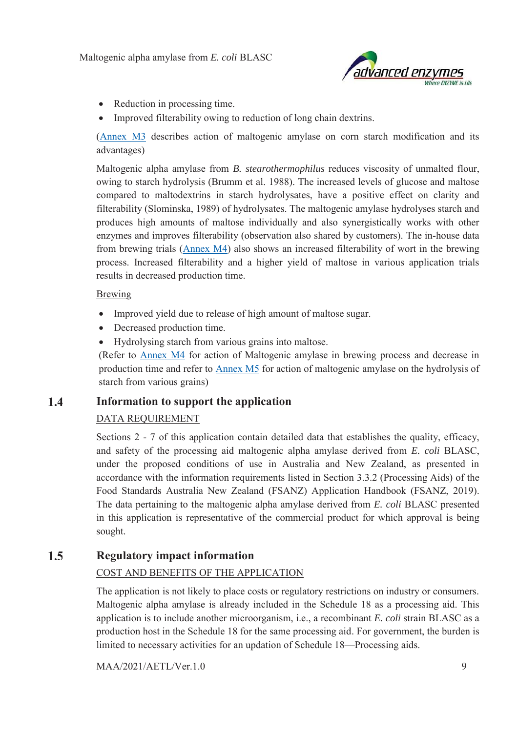

- $\bullet$  Reduction in processing time.
- Improved filterability owing to reduction of long chain dextrins.

(Annex M3 describes action of maltogenic amylase on corn starch modification and its advantages)

Maltogenic alpha amylase from *B. stearothermophilus* reduces viscosity of unmalted flour, owing to starch hydrolysis (Brumm et al. 1988). The increased levels of glucose and maltose compared to maltodextrins in starch hydrolysates, have a positive effect on clarity and filterability (Slominska, 1989) of hydrolysates. The maltogenic amylase hydrolyses starch and produces high amounts of maltose individually and also synergistically works with other enzymes and improves filterability (observation also shared by customers). The in-house data from brewing trials (Annex M4) also shows an increased filterability of wort in the brewing process. Increased filterability and a higher yield of maltose in various application trials results in decreased production time.

#### Brewing

- Improved yield due to release of high amount of maltose sugar.
- Decreased production time.
- Hydrolysing starch from various grains into maltose.

(Refer to Annex M4 for action of Maltogenic amylase in brewing process and decrease in production time and refer to Annex M5 for action of maltogenic amylase on the hydrolysis of starch from various grains)

#### $1.4$ **Information to support the application**

### DATA REQUIREMENT

Sections 2 - 7 of this application contain detailed data that establishes the quality, efficacy, and safety of the processing aid maltogenic alpha amylase derived from *E. coli* BLASC, under the proposed conditions of use in Australia and New Zealand, as presented in accordance with the information requirements listed in Section 3.3.2 (Processing Aids) of the Food Standards Australia New Zealand (FSANZ) Application Handbook (FSANZ, 2019). The data pertaining to the maltogenic alpha amylase derived from *E. coli* BLASC presented in this application is representative of the commercial product for which approval is being sought.

#### $1.5$ **Regulatory impact information**

### COST AND BENEFITS OF THE APPLICATION

The application is not likely to place costs or regulatory restrictions on industry or consumers. Maltogenic alpha amylase is already included in the Schedule 18 as a processing aid. This application is to include another microorganism, i.e., a recombinant *E. coli* strain BLASC as a production host in the Schedule 18 for the same processing aid. For government, the burden is limited to necessary activities for an updation of Schedule 18—Processing aids.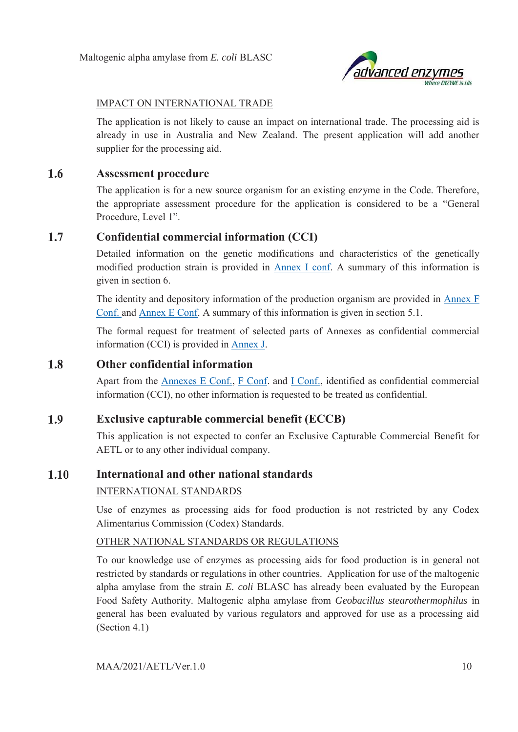

### IMPACT ON INTERNATIONAL TRADE

The application is not likely to cause an impact on international trade. The processing aid is already in use in Australia and New Zealand. The present application will add another supplier for the processing aid.

#### $1.6$ **Assessment procedure**

The application is for a new source organism for an existing enzyme in the Code. Therefore, the appropriate assessment procedure for the application is considered to be a "General Procedure, Level 1".

#### $1.7$ **Confidential commercial information (CCI)**

Detailed information on the genetic modifications and characteristics of the genetically modified production strain is provided in Annex I conf. A summary of this information is given in section 6.

The identity and depository information of the production organism are provided in Annex F Conf. and Annex E Conf. A summary of this information is given in section 5.1.

The formal request for treatment of selected parts of Annexes as confidential commercial information (CCI) is provided in Annex J.

#### 1.8 **Other confidential information**

Apart from the Annexes E Conf., F Conf. and I Conf., identified as confidential commercial information (CCI), no other information is requested to be treated as confidential.

#### 1.9 **Exclusive capturable commercial benefit (ECCB)**

This application is not expected to confer an Exclusive Capturable Commercial Benefit for AETL or to any other individual company.

#### 1.10 **International and other national standards**

### INTERNATIONAL STANDARDS

Use of enzymes as processing aids for food production is not restricted by any Codex Alimentarius Commission (Codex) Standards.

### OTHER NATIONAL STANDARDS OR REGULATIONS

To our knowledge use of enzymes as processing aids for food production is in general not restricted by standards or regulations in other countries. Application for use of the maltogenic alpha amylase from the strain *E. coli* BLASC has already been evaluated by the European Food Safety Authority. Maltogenic alpha amylase from *Geobacillus stearothermophilus* in general has been evaluated by various regulators and approved for use as a processing aid (Section 4.1)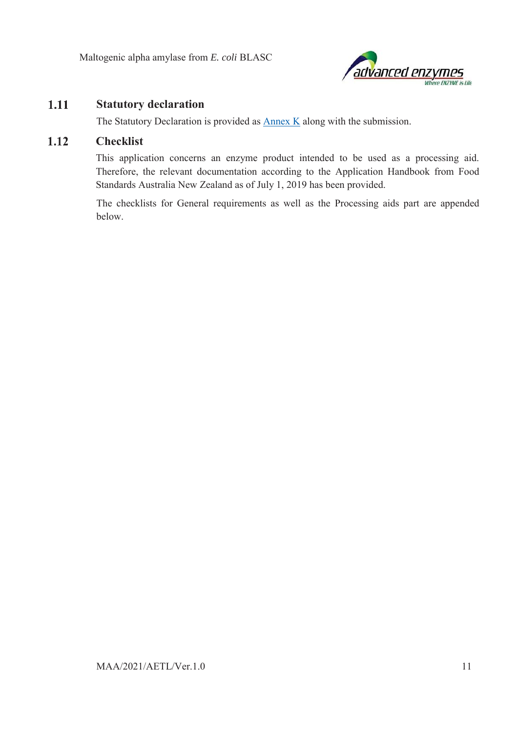

#### 1.11 **Statutory declaration**

The Statutory Declaration is provided as Annex K along with the submission.

#### $1.12$ **Checklist**

This application concerns an enzyme product intended to be used as a processing aid. Therefore, the relevant documentation according to the Application Handbook from Food Standards Australia New Zealand as of July 1, 2019 has been provided.

The checklists for General requirements as well as the Processing aids part are appended below.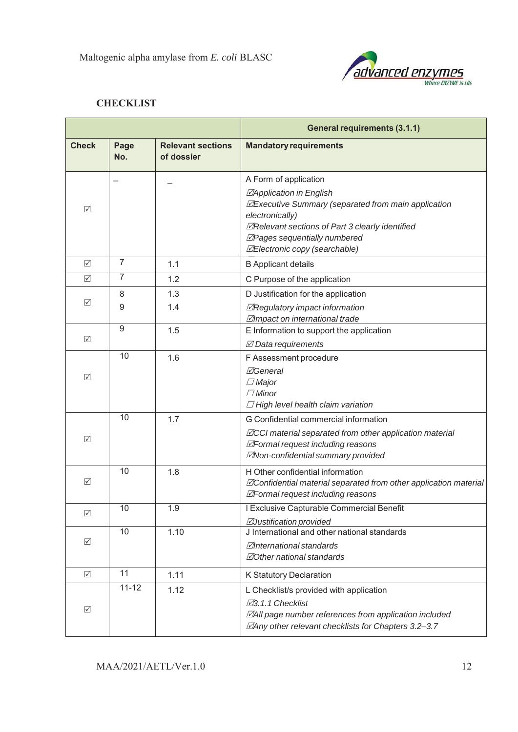

# **CHECKLIST**

|                 |                |                                        | <b>General requirements (3.1.1)</b>                                                                                                                                                                                                                                               |  |  |
|-----------------|----------------|----------------------------------------|-----------------------------------------------------------------------------------------------------------------------------------------------------------------------------------------------------------------------------------------------------------------------------------|--|--|
| <b>Check</b>    | Page<br>No.    | <b>Relevant sections</b><br>of dossier | <b>Mandatory requirements</b>                                                                                                                                                                                                                                                     |  |  |
| ☑               |                |                                        | A Form of application<br>⊠Application in English<br><b><i>MExecutive Summary (separated from main application</i></b><br>electronically)<br><b>ØRelevant sections of Part 3 clearly identified</b><br>⊠Pages sequentially numbered<br><b><i>MElectronic copy (searchable)</i></b> |  |  |
| ☑               | 7              | 1.1                                    | <b>B</b> Applicant details                                                                                                                                                                                                                                                        |  |  |
| ☑               | $\overline{7}$ | 1.2                                    | C Purpose of the application                                                                                                                                                                                                                                                      |  |  |
| ☑               | 8<br>9         | 1.3<br>1.4                             | D Justification for the application<br>⊠Regulatory impact information<br>⊠Impact on international trade                                                                                                                                                                           |  |  |
| ☑               | 9              | 1.5                                    | E Information to support the application<br>$\boxtimes$ Data requirements                                                                                                                                                                                                         |  |  |
| ☑               | 10             | 1.6                                    | F Assessment procedure<br><b>⊠General</b><br>$\Box$ Major<br>$\Box$ Minor<br>$\Box$ High level health claim variation                                                                                                                                                             |  |  |
| ☑               | 10             | 1.7                                    | G Confidential commercial information<br><b>ZCCI</b> material separated from other application material<br>⊠Formal request including reasons<br><b>ZNon-confidential summary provided</b>                                                                                         |  |  |
| ☑               | 10             | 1.8                                    | H Other confidential information<br><b>ZConfidential material separated from other application material</b><br>⊠Formal request including reasons                                                                                                                                  |  |  |
| ☑               | 10             | 1.9                                    | I Exclusive Capturable Commercial Benefit<br><b><i>AJustification provided</i></b>                                                                                                                                                                                                |  |  |
| ☑               | 10             | 1.10                                   | J International and other national standards<br>⊠International standards<br><b>ZOther national standards</b>                                                                                                                                                                      |  |  |
| $\triangledown$ | 11             | 1.11                                   | K Statutory Declaration                                                                                                                                                                                                                                                           |  |  |
| ☑               | $11 - 12$      | 1.12                                   | L Checklist/s provided with application<br>⊠3.1.1 Checklist<br><b>ZAII</b> page number references from application included<br>⊠Any other relevant checklists for Chapters 3.2-3.7                                                                                                |  |  |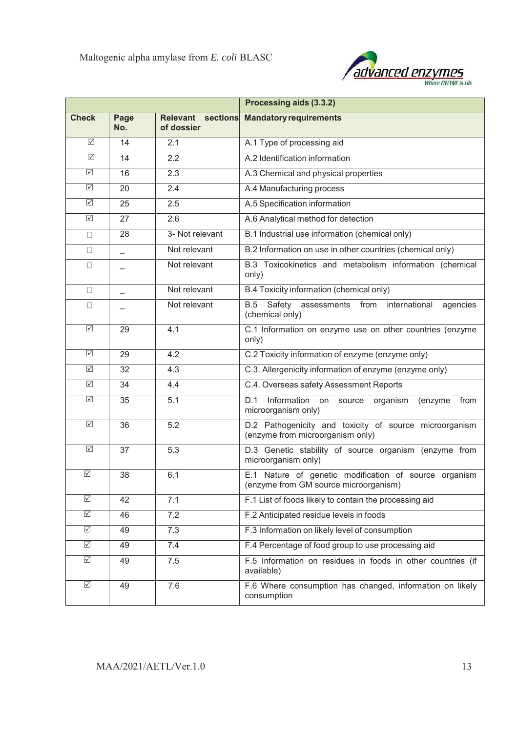

|                                 |                          |                                 | Processing aids (3.3.2)                                                                        |  |  |
|---------------------------------|--------------------------|---------------------------------|------------------------------------------------------------------------------------------------|--|--|
| <b>Check</b>                    | Page<br>No.              | Relevant sections<br>of dossier | <b>Mandatory requirements</b>                                                                  |  |  |
| ☑                               | 14                       | 2.1                             | A.1 Type of processing aid                                                                     |  |  |
| ☑                               | 14                       | 2.2                             | A.2 Identification information                                                                 |  |  |
| ☑                               | 16                       | 2.3                             | A.3 Chemical and physical properties                                                           |  |  |
| $\triangledown$                 | 20                       | 2.4                             | A.4 Manufacturing process                                                                      |  |  |
| $\boxed{\checkmark}$            | 25                       | 2.5                             | A.5 Specification information                                                                  |  |  |
| $\triangledown$                 | 27                       | 2.6                             | A.6 Analytical method for detection                                                            |  |  |
| $\Box$                          | 28                       | 3- Not relevant                 | B.1 Industrial use information (chemical only)                                                 |  |  |
| $\Box$                          |                          | Not relevant                    | B.2 Information on use in other countries (chemical only)                                      |  |  |
| $\Box$                          |                          | Not relevant                    | B.3 Toxicokinetics and metabolism information (chemical<br>only)                               |  |  |
| $\Box$                          | $\overline{\phantom{0}}$ | Not relevant                    | B.4 Toxicity information (chemical only)                                                       |  |  |
| $\Box$                          |                          | Not relevant                    | Safety assessments from international<br>B.5<br>agencies<br>(chemical only)                    |  |  |
| $\overline{\triangledown}$      | 29                       | 4.1                             | C.1 Information on enzyme use on other countries (enzyme<br>only)                              |  |  |
| $\boxed{\checkmark}$            | 29                       | 4.2                             | C.2 Toxicity information of enzyme (enzyme only)                                               |  |  |
| ☑                               | 32                       | 4.3                             | C.3. Allergenicity information of enzyme (enzyme only)                                         |  |  |
| $\triangledown$                 | 34                       | 4.4                             | C.4. Overseas safety Assessment Reports                                                        |  |  |
| $\triangledown$                 | 35                       | 5.1                             | Information on source organism<br>D.1<br>(enzyme<br>from<br>microorganism only)                |  |  |
| $\overline{\mathbb{N}}$         | 36                       | $\overline{5.2}$                | D.2 Pathogenicity and toxicity of source microorganism<br>(enzyme from microorganism only)     |  |  |
| $\triangledown$                 | 37                       | 5.3                             | D.3 Genetic stability of source organism (enzyme from<br>microorganism only)                   |  |  |
| $\overline{\blacktriangledown}$ | 38                       | 6.1                             | E.1 Nature of genetic modification of source organism<br>(enzyme from GM source microorganism) |  |  |
| $\triangledown$                 | 42                       | 7.1                             | F.1 List of foods likely to contain the processing aid                                         |  |  |
| $\overline{\vee}$               | 46                       | 7.2                             | F.2 Anticipated residue levels in foods                                                        |  |  |
| $\overline{\vee}$               | 49                       | $\overline{7.3}$                | F.3 Information on likely level of consumption                                                 |  |  |
| $\overline{\vee}$               | 49                       | 7.4                             | F.4 Percentage of food group to use processing aid                                             |  |  |
| $\triangledown$                 | 49                       | 7.5                             | F.5 Information on residues in foods in other countries (if<br>available)                      |  |  |
| $\sqrt{}$                       | 49                       | 7.6                             | F.6 Where consumption has changed, information on likely<br>consumption                        |  |  |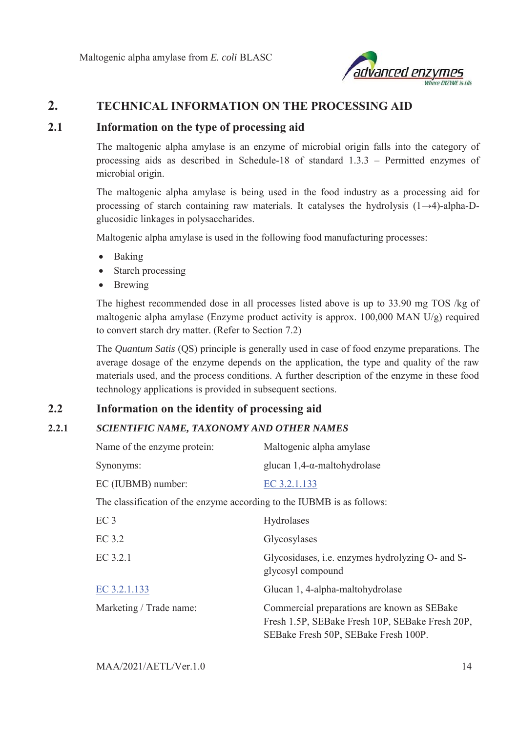

# **2. TECHNICAL INFORMATION ON THE PROCESSING AID**

### **2.1 Information on the type of processing aid**

The maltogenic alpha amylase is an enzyme of microbial origin falls into the category of processing aids as described in Schedule-18 of standard 1.3.3 – Permitted enzymes of microbial origin.

The maltogenic alpha amylase is being used in the food industry as a processing aid for processing of starch containing raw materials. It catalyses the hydrolysis (1→4)-alpha-Dglucosidic linkages in polysaccharides.

Maltogenic alpha amylase is used in the following food manufacturing processes:

- **Baking**
- $\bullet$  Starch processing
- **Brewing**

The highest recommended dose in all processes listed above is up to 33.90 mg TOS /kg of maltogenic alpha amylase (Enzyme product activity is approx. 100,000 MAN U/g) required to convert starch dry matter. (Refer to Section 7.2)

The *Quantum Satis* (QS) principle is generally used in case of food enzyme preparations. The average dosage of the enzyme depends on the application, the type and quality of the raw materials used, and the process conditions. A further description of the enzyme in these food technology applications is provided in subsequent sections.

# **2.2 Information on the identity of processing aid**

# **2.2.1** *SCIENTIFIC NAME, TAXONOMY AND OTHER NAMES*

| Name of the enzyme protein:                                            | Maltogenic alpha amylase                                                                                                               |
|------------------------------------------------------------------------|----------------------------------------------------------------------------------------------------------------------------------------|
| Synonyms:                                                              | glucan $1,4$ - $\alpha$ -maltohydrolase                                                                                                |
| EC (IUBMB) number:                                                     | EC 3.2.1.133                                                                                                                           |
| The classification of the enzyme according to the IUBMB is as follows: |                                                                                                                                        |
| EC <sub>3</sub>                                                        | Hydrolases                                                                                                                             |
| EC 3.2                                                                 | Glycosylases                                                                                                                           |
| EC 3.2.1                                                               | Glycosidases, <i>i.e.</i> enzymes hydrolyzing O- and S-<br>glycosyl compound                                                           |
| EC 3.2.1.133                                                           | Glucan 1, 4-alpha-maltohydrolase                                                                                                       |
| Marketing / Trade name:                                                | Commercial preparations are known as SEBake<br>Fresh 1.5P, SEBake Fresh 10P, SEBake Fresh 20P,<br>SEBake Fresh 50P, SEBake Fresh 100P. |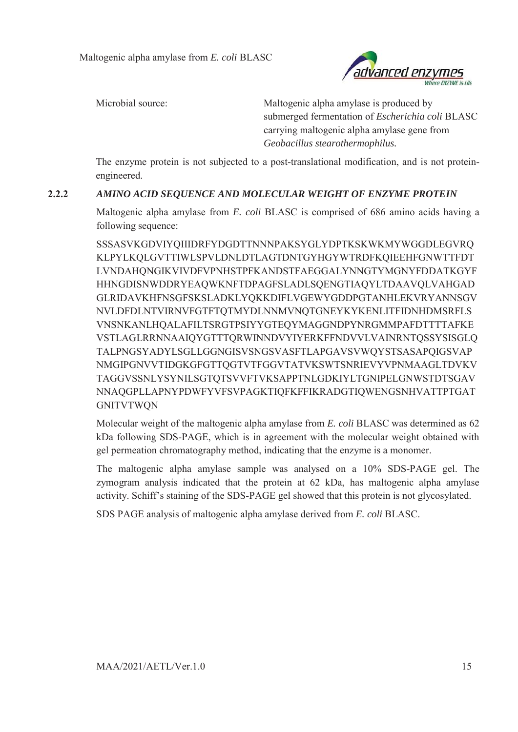

Microbial source: Maltogenic alpha amylase is produced by submerged fermentation of *Escherichia coli* BLASC carrying maltogenic alpha amylase gene from *Geobacillus stearothermophilus.* 

The enzyme protein is not subjected to a post-translational modification, and is not proteinengineered.

## **2.2.2** *AMINO ACID SEQUENCE AND MOLECULAR WEIGHT OF ENZYME PROTEIN*

Maltogenic alpha amylase from *E. coli* BLASC is comprised of 686 amino acids having a following sequence:

SSSASVKGDVIYQIIIDRFYDGDTTNNNPAKSYGLYDPTKSKWKMYWGGDLEGVRQ KLPYLKQLGVTTIWLSPVLDNLDTLAGTDNTGYHGYWTRDFKQIEEHFGNWTTFDT LVNDAHQNGIKVIVDFVPNHSTPFKANDSTFAEGGALYNNGTYMGNYFDDATKGYF HHNGDISNWDDRYEAQWKNFTDPAGFSLADLSQENGTIAQYLTDAAVQLVAHGAD GLRIDAVKHFNSGFSKSLADKLYQKKDIFLVGEWYGDDPGTANHLEKVRYANNSGV NVLDFDLNTVIRNVFGTFTQTMYDLNNMVNQTGNEYKYKENLITFIDNHDMSRFLS VNSNKANLHQALAFILTSRGTPSIYYGTEQYMAGGNDPYNRGMMPAFDTTTTAFKE VSTLAGLRRNNAAIQYGTTTQRWINNDVYIYERKFFNDVVLVAINRNTQSSYSISGLQ TALPNGSYADYLSGLLGGNGISVSNGSVASFTLAPGAVSVWQYSTSASAPQIGSVAP NMGIPGNVVTIDGKGFGTTQGTVTFGGVTATVKSWTSNRIEVYVPNMAAGLTDVKV TAGGVSSNLYSYNILSGTQTSVVFTVKSAPPTNLGDKIYLTGNIPELGNWSTDTSGAV NNAQGPLLAPNYPDWFYVFSVPAGKTIQFKFFIKRADGTIQWENGSNHVATTPTGAT GNITVTWQN

Molecular weight of the maltogenic alpha amylase from *E. coli* BLASC was determined as 62 kDa following SDS-PAGE, which is in agreement with the molecular weight obtained with gel permeation chromatography method, indicating that the enzyme is a monomer.

The maltogenic alpha amylase sample was analysed on a 10% SDS-PAGE gel. The zymogram analysis indicated that the protein at 62 kDa, has maltogenic alpha amylase activity. Schiff's staining of the SDS-PAGE gel showed that this protein is not glycosylated.

SDS PAGE analysis of maltogenic alpha amylase derived from *E. coli* BLASC.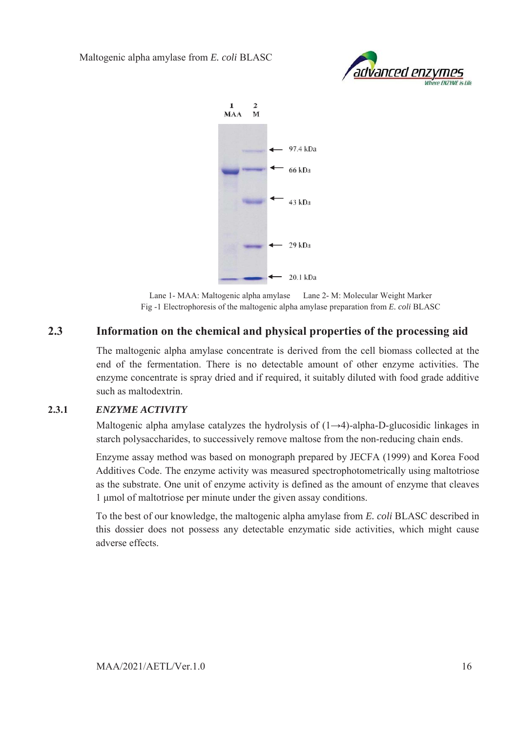



Lane 1- MAA: Maltogenic alpha amylase Lane 2- M: Molecular Weight Marker Fig -1 Electrophoresis of the maltogenic alpha amylase preparation from *E. coli* BLASC

# **2.3 Information on the chemical and physical properties of the processing aid**

The maltogenic alpha amylase concentrate is derived from the cell biomass collected at the end of the fermentation. There is no detectable amount of other enzyme activities. The enzyme concentrate is spray dried and if required, it suitably diluted with food grade additive such as maltodextrin.

### **2.3.1** *ENZYME ACTIVITY*

Maltogenic alpha amylase catalyzes the hydrolysis of  $(1\rightarrow 4)$ -alpha-D-glucosidic linkages in starch polysaccharides, to successively remove maltose from the non-reducing chain ends.

Enzyme assay method was based on monograph prepared by JECFA (1999) and Korea Food Additives Code. The enzyme activity was measured spectrophotometrically using maltotriose as the substrate. One unit of enzyme activity is defined as the amount of enzyme that cleaves 1 μmol of maltotriose per minute under the given assay conditions.

To the best of our knowledge, the maltogenic alpha amylase from *E. coli* BLASC described in this dossier does not possess any detectable enzymatic side activities, which might cause adverse effects.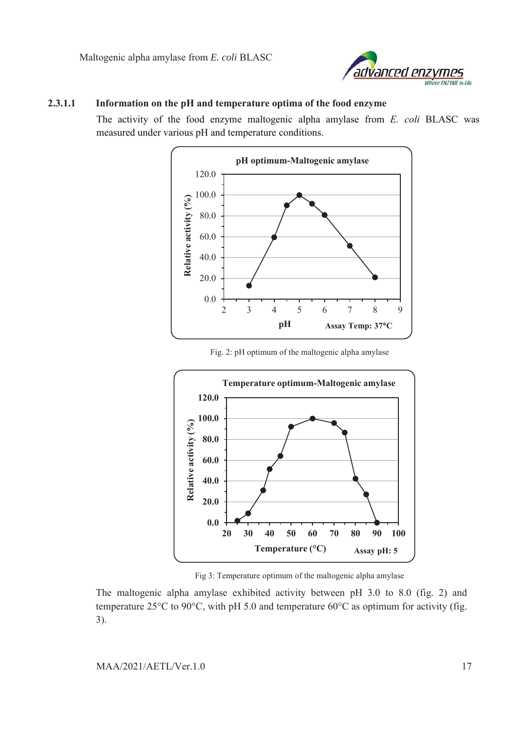

#### **2.3.1.1 Information on the pH and temperature optima of the food enzyme**

The activity of the food enzyme maltogenic alpha amylase from *E. coli* BLASC was measured under various pH and temperature conditions.



Fig. 2: pH optimum of the maltogenic alpha amylase



Fig 3: Temperature optimum of the maltogenic alpha amylase

The maltogenic alpha amylase exhibited activity between pH 3.0 to 8.0 (fig. 2) and temperature 25 $\rm{^{\circ}C}$  to 90 $\rm{^{\circ}C}$ , with pH 5.0 and temperature 60 $\rm{^{\circ}C}$  as optimum for activity (fig. 3).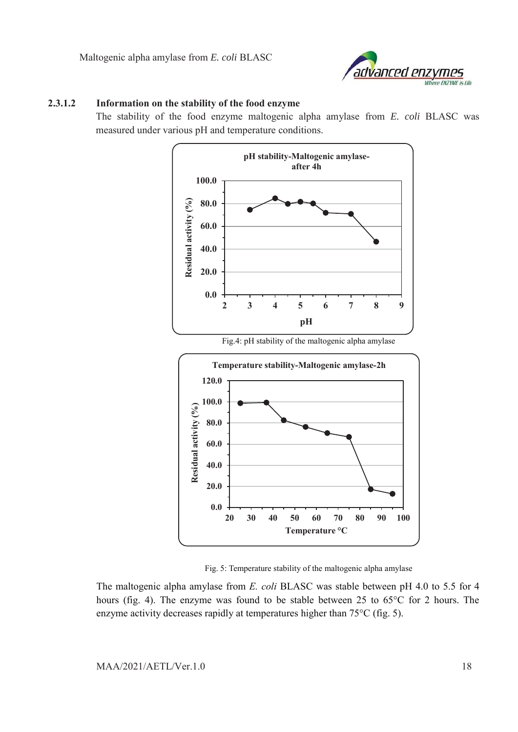

#### **2.3.1.2 Information on the stability of the food enzyme**

The stability of the food enzyme maltogenic alpha amylase from *E. coli* BLASC was measured under various pH and temperature conditions.



Fig. 5: Temperature stability of the maltogenic alpha amylase

**20 30 40 50 60 70 80 90 100**

**Temperature °C**

The maltogenic alpha amylase from *E. coli* BLASC was stable between pH 4.0 to 5.5 for 4 hours (fig. 4). The enzyme was found to be stable between 25 to 65°C for 2 hours. The enzyme activity decreases rapidly at temperatures higher than 75°C (fig. 5).

**0.0**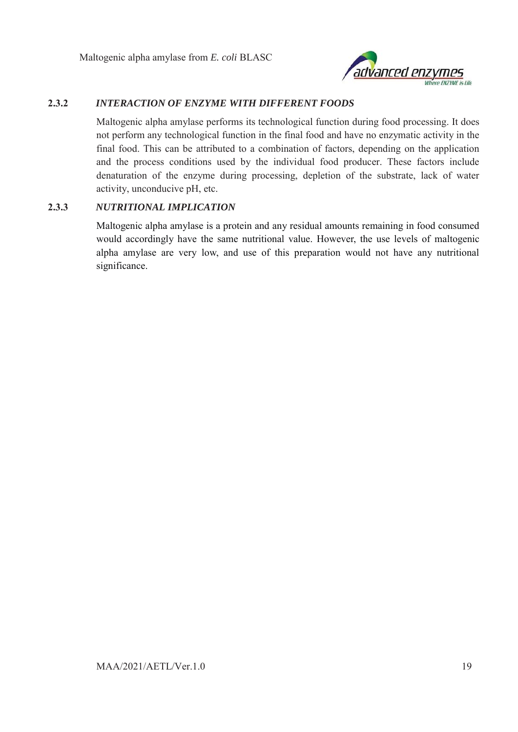

### **2.3.2** *INTERACTION OF ENZYME WITH DIFFERENT FOODS*

Maltogenic alpha amylase performs its technological function during food processing. It does not perform any technological function in the final food and have no enzymatic activity in the final food. This can be attributed to a combination of factors, depending on the application and the process conditions used by the individual food producer. These factors include denaturation of the enzyme during processing, depletion of the substrate, lack of water activity, unconducive pH, etc.

#### **2.3.3** *NUTRITIONAL IMPLICATION*

Maltogenic alpha amylase is a protein and any residual amounts remaining in food consumed would accordingly have the same nutritional value. However, the use levels of maltogenic alpha amylase are very low, and use of this preparation would not have any nutritional significance.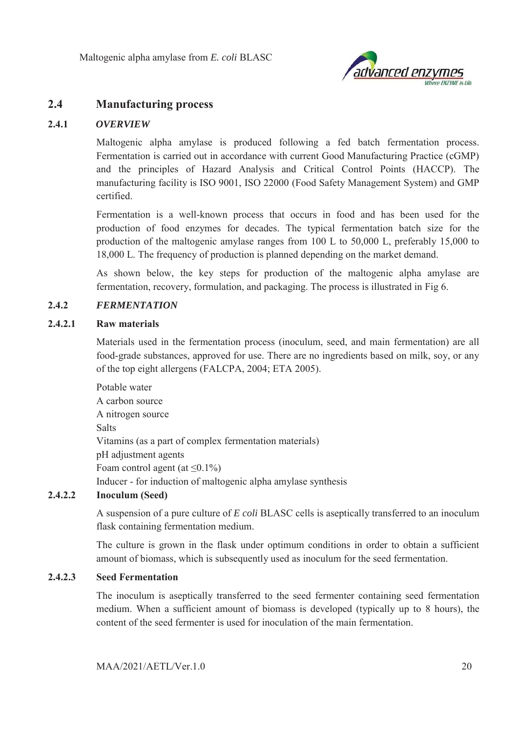

# **2.4 Manufacturing process**

### **2.4.1** *OVERVIEW*

Maltogenic alpha amylase is produced following a fed batch fermentation process. Fermentation is carried out in accordance with current Good Manufacturing Practice (cGMP) and the principles of Hazard Analysis and Critical Control Points (HACCP). The manufacturing facility is ISO 9001, ISO 22000 (Food Safety Management System) and GMP certified.

Fermentation is a well-known process that occurs in food and has been used for the production of food enzymes for decades. The typical fermentation batch size for the production of the maltogenic amylase ranges from 100 L to 50,000 L, preferably 15,000 to 18,000 L. The frequency of production is planned depending on the market demand.

As shown below, the key steps for production of the maltogenic alpha amylase are fermentation, recovery, formulation, and packaging. The process is illustrated in Fig 6.

#### **2.4.2** *FERMENTATION*

#### **2.4.2.1 Raw materials**

Materials used in the fermentation process (inoculum, seed, and main fermentation) are all food-grade substances, approved for use. There are no ingredients based on milk, soy, or any of the top eight allergens (FALCPA, 2004; ETA 2005).

Potable water A carbon source A nitrogen source Salts Vitamins (as a part of complex fermentation materials) pH adjustment agents Foam control agent (at  $\leq 0.1\%$ ) Inducer - for induction of maltogenic alpha amylase synthesis

### **2.4.2.2 Inoculum (Seed)**

A suspension of a pure culture of *E coli* BLASC cells is aseptically transferred to an inoculum flask containing fermentation medium.

The culture is grown in the flask under optimum conditions in order to obtain a sufficient amount of biomass, which is subsequently used as inoculum for the seed fermentation.

### **2.4.2.3 Seed Fermentation**

The inoculum is aseptically transferred to the seed fermenter containing seed fermentation medium. When a sufficient amount of biomass is developed (typically up to 8 hours), the content of the seed fermenter is used for inoculation of the main fermentation.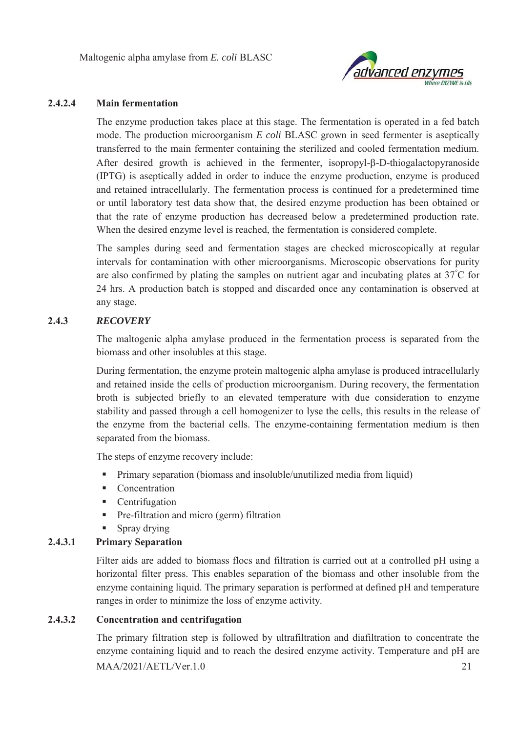

#### **2.4.2.4 Main fermentation**

The enzyme production takes place at this stage. The fermentation is operated in a fed batch mode. The production microorganism *E coli* BLASC grown in seed fermenter is aseptically transferred to the main fermenter containing the sterilized and cooled fermentation medium. After desired growth is achieved in the fermenter, isopropyl-E-D-thiogalactopyranoside (IPTG) is aseptically added in order to induce the enzyme production, enzyme is produced and retained intracellularly. The fermentation process is continued for a predetermined time or until laboratory test data show that, the desired enzyme production has been obtained or that the rate of enzyme production has decreased below a predetermined production rate. When the desired enzyme level is reached, the fermentation is considered complete.

The samples during seed and fermentation stages are checked microscopically at regular intervals for contamination with other microorganisms. Microscopic observations for purity are also confirmed by plating the samples on nutrient agar and incubating plates at 37° C for 24 hrs. A production batch is stopped and discarded once any contamination is observed at any stage.

### **2.4.3** *RECOVERY*

The maltogenic alpha amylase produced in the fermentation process is separated from the biomass and other insolubles at this stage.

During fermentation, the enzyme protein maltogenic alpha amylase is produced intracellularly and retained inside the cells of production microorganism. During recovery, the fermentation broth is subjected briefly to an elevated temperature with due consideration to enzyme stability and passed through a cell homogenizer to lyse the cells, this results in the release of the enzyme from the bacterial cells. The enzyme-containing fermentation medium is then separated from the biomass.

The steps of enzyme recovery include:

- Primary separation (biomass and insoluble/unutilized media from liquid)
- Concentration
- **Centrifugation**
- **Pre-filtration and micro (germ) filtration**
- **Spray drying**

### **2.4.3.1 Primary Separation**

Filter aids are added to biomass flocs and filtration is carried out at a controlled pH using a horizontal filter press. This enables separation of the biomass and other insoluble from the enzyme containing liquid. The primary separation is performed at defined pH and temperature ranges in order to minimize the loss of enzyme activity.

### **2.4.3.2 Concentration and centrifugation**

MAA/2021/AETL/Ver.1.0 21 The primary filtration step is followed by ultrafiltration and diafiltration to concentrate the enzyme containing liquid and to reach the desired enzyme activity. Temperature and pH are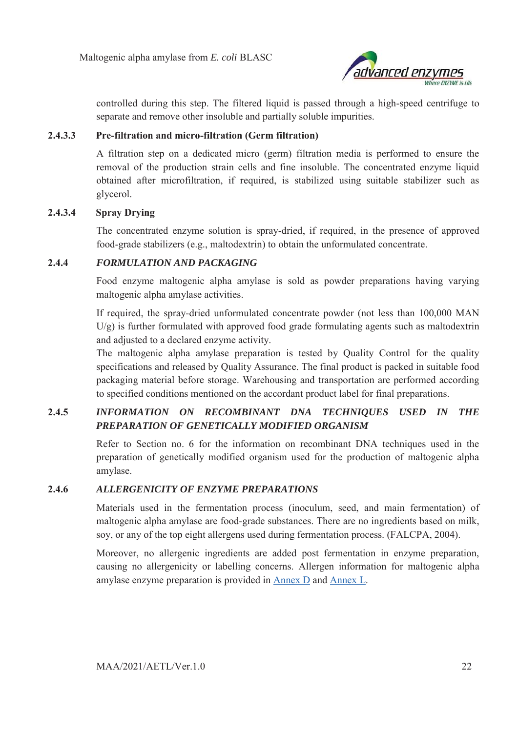

controlled during this step. The filtered liquid is passed through a high-speed centrifuge to separate and remove other insoluble and partially soluble impurities.

#### **2.4.3.3 Pre-filtration and micro-filtration (Germ filtration)**

A filtration step on a dedicated micro (germ) filtration media is performed to ensure the removal of the production strain cells and fine insoluble. The concentrated enzyme liquid obtained after microfiltration, if required, is stabilized using suitable stabilizer such as glycerol.

#### **2.4.3.4 Spray Drying**

The concentrated enzyme solution is spray-dried, if required, in the presence of approved food-grade stabilizers (e.g., maltodextrin) to obtain the unformulated concentrate.

#### **2.4.4** *FORMULATION AND PACKAGING*

Food enzyme maltogenic alpha amylase is sold as powder preparations having varying maltogenic alpha amylase activities.

If required, the spray-dried unformulated concentrate powder (not less than 100,000 MAN  $U/g$ ) is further formulated with approved food grade formulating agents such as maltodextrin and adjusted to a declared enzyme activity.

The maltogenic alpha amylase preparation is tested by Quality Control for the quality specifications and released by Quality Assurance. The final product is packed in suitable food packaging material before storage. Warehousing and transportation are performed according to specified conditions mentioned on the accordant product label for final preparations.

# **2.4.5** *INFORMATION ON RECOMBINANT DNA TECHNIQUES USED IN THE PREPARATION OF GENETICALLY MODIFIED ORGANISM*

Refer to Section no. 6 for the information on recombinant DNA techniques used in the preparation of genetically modified organism used for the production of maltogenic alpha amylase.

#### **2.4.6** *ALLERGENICITY OF ENZYME PREPARATIONS*

Materials used in the fermentation process (inoculum, seed, and main fermentation) of maltogenic alpha amylase are food-grade substances. There are no ingredients based on milk, soy, or any of the top eight allergens used during fermentation process. (FALCPA, 2004).

Moreover, no allergenic ingredients are added post fermentation in enzyme preparation, causing no allergenicity or labelling concerns. Allergen information for maltogenic alpha amylase enzyme preparation is provided in Annex D and Annex L.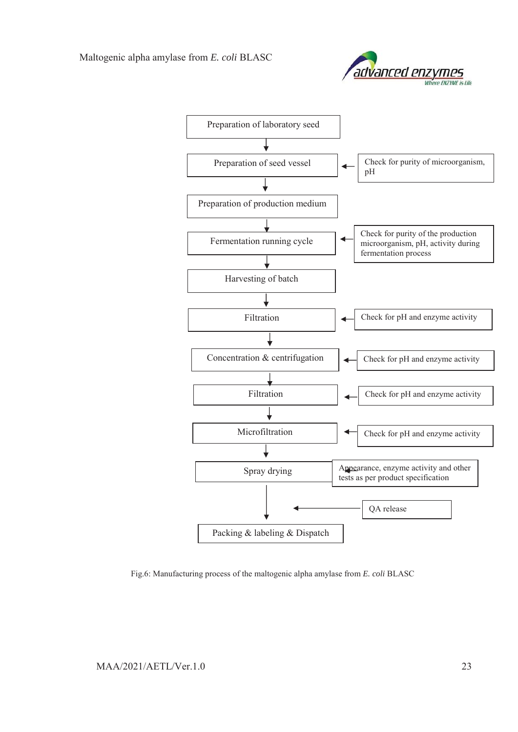



Fig.6: Manufacturing process of the maltogenic alpha amylase from *E. coli* BLASC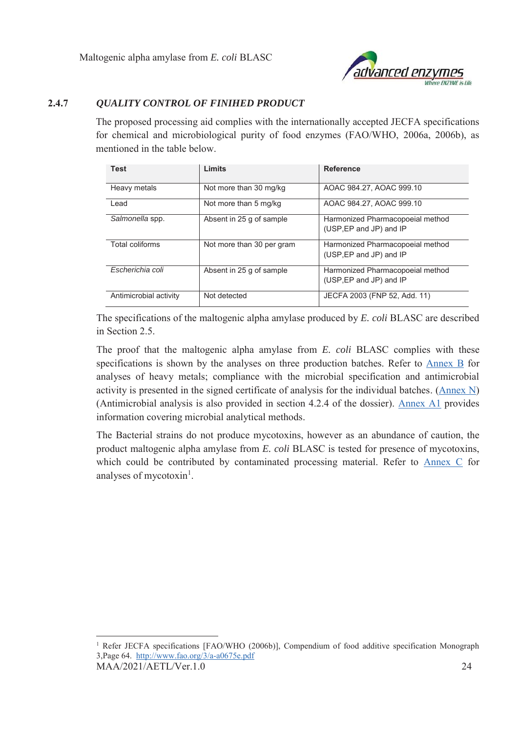

## **2.4.7** *QUALITY CONTROL OF FINIHED PRODUCT*

The proposed processing aid complies with the internationally accepted JECFA specifications for chemical and microbiological purity of food enzymes (FAO/WHO, 2006a, 2006b), as mentioned in the table below.

| <b>Test</b>            | Limits                    | <b>Reference</b>                                            |
|------------------------|---------------------------|-------------------------------------------------------------|
| Heavy metals           | Not more than 30 mg/kg    | AOAC 984.27, AOAC 999.10                                    |
| Lead                   | Not more than 5 mg/kg     | AOAC 984.27, AOAC 999.10                                    |
| Salmonella spp.        | Absent in 25 q of sample  | Harmonized Pharmacopoeial method<br>(USP, EP and JP) and IP |
| Total coliforms        | Not more than 30 per gram | Harmonized Pharmacopoeial method<br>(USP, EP and JP) and IP |
| Escherichia coli       | Absent in 25 q of sample  | Harmonized Pharmacopoeial method<br>(USP, EP and JP) and IP |
| Antimicrobial activity | Not detected              | JECFA 2003 (FNP 52, Add. 11)                                |

The specifications of the maltogenic alpha amylase produced by *E. coli* BLASC are described in Section 2.5.

The proof that the maltogenic alpha amylase from *E. coli* BLASC complies with these specifications is shown by the analyses on three production batches. Refer to Annex B for analyses of heavy metals; compliance with the microbial specification and antimicrobial activity is presented in the signed certificate of analysis for the individual batches. (Annex N) (Antimicrobial analysis is also provided in section 4.2.4 of the dossier). Annex A1 provides information covering microbial analytical methods.

The Bacterial strains do not produce mycotoxins, however as an abundance of caution, the product maltogenic alpha amylase from *E. coli* BLASC is tested for presence of mycotoxins, which could be contributed by contaminated processing material. Refer to Annex C for analyses of mycotoxin<sup>1</sup>.

 $\overline{a}$ 

MAA/2021/AETL/Ver.1.0 24 <sup>1</sup> Refer JECFA specifications [FAO/WHO (2006b)], Compendium of food additive specification Monograph 3,Page 64. http://www.fao.org/3/a-a0675e.pdf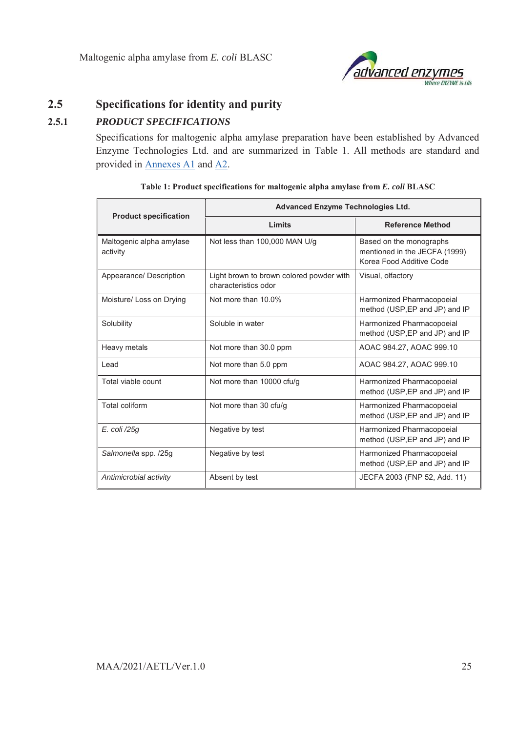

# **2.5 Specifications for identity and purity**

# **2.5.1** *PRODUCT SPECIFICATIONS*

Specifications for maltogenic alpha amylase preparation have been established by Advanced Enzyme Technologies Ltd. and are summarized in Table 1. All methods are standard and provided in Annexes A1 and A2.

| <b>Product specification</b>         | Advanced Enzyme Technologies Ltd.                                |                                                                                      |  |  |
|--------------------------------------|------------------------------------------------------------------|--------------------------------------------------------------------------------------|--|--|
|                                      | Limits                                                           | <b>Reference Method</b>                                                              |  |  |
| Maltogenic alpha amylase<br>activity | Not less than 100,000 MAN U/g                                    | Based on the monographs<br>mentioned in the JECFA (1999)<br>Korea Food Additive Code |  |  |
| Appearance/ Description              | Light brown to brown colored powder with<br>characteristics odor | Visual, olfactory                                                                    |  |  |
| Moisture/ Loss on Drying             | Not more than 10.0%                                              | Harmonized Pharmacopoeial<br>method (USP, EP and JP) and IP                          |  |  |
| Solubility                           | Soluble in water                                                 | Harmonized Pharmacopoeial<br>method (USP, EP and JP) and IP                          |  |  |
| Heavy metals                         | Not more than 30.0 ppm                                           | AOAC 984.27, AOAC 999.10                                                             |  |  |
| I ead                                | Not more than 5.0 ppm                                            | AOAC 984.27, AOAC 999.10                                                             |  |  |
| Total viable count                   | Not more than 10000 cfu/g                                        | Harmonized Pharmacopoeial<br>method (USP, EP and JP) and IP                          |  |  |
| Total coliform                       | Not more than 30 cfu/g                                           | Harmonized Pharmacopoeial<br>method (USP, EP and JP) and IP                          |  |  |
| E. coli /25g                         | Negative by test                                                 | Harmonized Pharmacopoeial<br>method (USP, EP and JP) and IP                          |  |  |
| Salmonella spp. /25g                 | Negative by test                                                 | Harmonized Pharmacopoeial<br>method (USP, EP and JP) and IP                          |  |  |
| Antimicrobial activity               | Absent by test                                                   | JECFA 2003 (FNP 52, Add. 11)                                                         |  |  |

**Table 1: Product specifications for maltogenic alpha amylase from** *E. coli* **BLASC**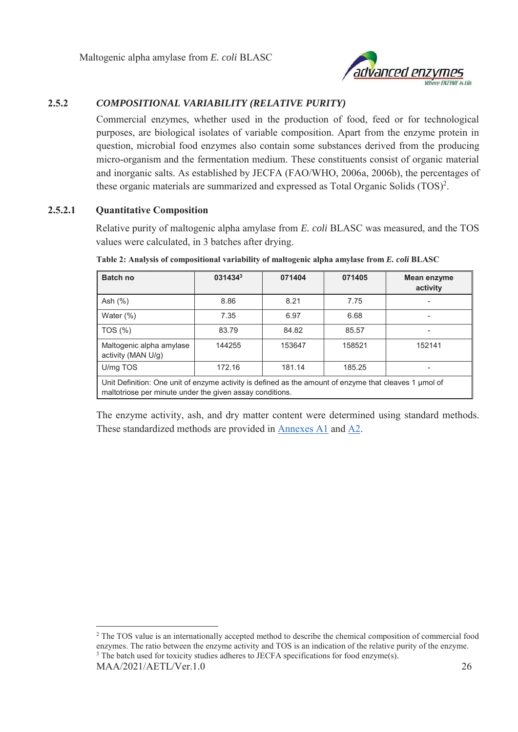

## **2.5.2** *COMPOSITIONAL VARIABILITY (RELATIVE PURITY)*

Commercial enzymes, whether used in the production of food, feed or for technological purposes, are biological isolates of variable composition. Apart from the enzyme protein in question, microbial food enzymes also contain some substances derived from the producing micro-organism and the fermentation medium. These constituents consist of organic material and inorganic salts. As established by JECFA (FAO/WHO, 2006a, 2006b), the percentages of these organic materials are summarized and expressed as Total Organic Solids  $(TOS)^2$ .

#### **2.5.2.1 Quantitative Composition**

l

Relative purity of maltogenic alpha amylase from *E. coli* BLASC was measured, and the TOS values were calculated, in 3 batches after drying.

| <b>Batch no</b>                                                                                                                                                    | 0314343 | 071404 | 071405 | Mean enzyme<br>activity |
|--------------------------------------------------------------------------------------------------------------------------------------------------------------------|---------|--------|--------|-------------------------|
| Ash $(%)$                                                                                                                                                          | 8.86    | 8.21   | 7.75   | ۰                       |
| Water $(\%)$                                                                                                                                                       | 7.35    | 6.97   | 6.68   | ۰                       |
| TOS (%)                                                                                                                                                            | 83.79   | 84.82  | 85.57  | -                       |
| Maltogenic alpha amylase<br>activity (MAN U/g)                                                                                                                     | 144255  | 153647 | 158521 | 152141                  |
| U/mg TOS                                                                                                                                                           | 172.16  | 181.14 | 185.25 | ۰                       |
| Unit Definition: One unit of enzyme activity is defined as the amount of enzyme that cleaves 1 µmol of<br>maltotriose per minute under the given assay conditions. |         |        |        |                         |

**Table 2: Analysis of compositional variability of maltogenic alpha amylase from** *E. coli* **BLASC** 

The enzyme activity, ash, and dry matter content were determined using standard methods. These standardized methods are provided in Annexes A1 and A2.

MAA/2021/AETL/Ver.1.0 26 <sup>2</sup> The TOS value is an internationally accepted method to describe the chemical composition of commercial food enzymes. The ratio between the enzyme activity and TOS is an indication of the relative purity of the enzyme. <sup>3</sup> The batch used for toxicity studies adheres to JECFA specifications for food enzyme(s).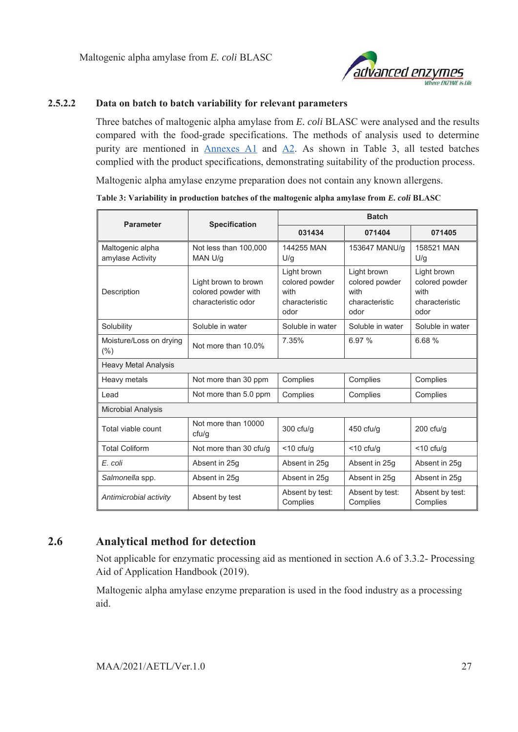

#### **2.5.2.2 Data on batch to batch variability for relevant parameters**

Three batches of maltogenic alpha amylase from *E. coli* BLASC were analysed and the results compared with the food-grade specifications. The methods of analysis used to determine purity are mentioned in Annexes A1 and A2. As shown in Table 3, all tested batches complied with the product specifications, demonstrating suitability of the production process.

Maltogenic alpha amylase enzyme preparation does not contain any known allergens.

**Table 3: Variability in production batches of the maltogenic alpha amylase from** *E. coli* **BLASC** 

| <b>Parameter</b>                     | <b>Specification</b>                                               | <b>Batch</b>                                                    |                                                                 |                                                                 |  |
|--------------------------------------|--------------------------------------------------------------------|-----------------------------------------------------------------|-----------------------------------------------------------------|-----------------------------------------------------------------|--|
|                                      |                                                                    | 031434                                                          | 071404                                                          | 071405                                                          |  |
| Maltogenic alpha<br>amylase Activity | Not less than 100,000<br>MAN U/g                                   | 144255 MAN<br>U/g                                               | 153647 MANU/g                                                   | 158521 MAN<br>U/g                                               |  |
| Description                          | Light brown to brown<br>colored powder with<br>characteristic odor | Light brown<br>colored powder<br>with<br>characteristic<br>odor | Light brown<br>colored powder<br>with<br>characteristic<br>odor | Light brown<br>colored powder<br>with<br>characteristic<br>odor |  |
| Solubility                           | Soluble in water                                                   | Soluble in water                                                | Soluble in water                                                | Soluble in water                                                |  |
| Moisture/Loss on drying<br>$(\% )$   | Not more than 10.0%                                                | 7.35%                                                           | 6.97 %                                                          | 6.68%                                                           |  |
| <b>Heavy Metal Analysis</b>          |                                                                    |                                                                 |                                                                 |                                                                 |  |
| Heavy metals                         | Not more than 30 ppm                                               | Complies                                                        | Complies                                                        | Complies                                                        |  |
| I ead                                | Not more than 5.0 ppm                                              | Complies                                                        | Complies                                                        | Complies                                                        |  |
| <b>Microbial Analysis</b>            |                                                                    |                                                                 |                                                                 |                                                                 |  |
| Total viable count                   | Not more than 10000<br>ctu/q                                       | $300$ cfu/g                                                     | $450$ cfu/g                                                     | $200$ cfu/g                                                     |  |
| <b>Total Coliform</b>                | Not more than 30 cfu/g                                             | $<$ 10 cfu/g                                                    | $<$ 10 cfu/g                                                    | $<$ 10 cfu/g                                                    |  |
| E. coli                              | Absent in 25g                                                      | Absent in 25g                                                   | Absent in 25g                                                   | Absent in 25g                                                   |  |
| Salmonella spp.                      | Absent in 25g                                                      | Absent in 25g                                                   | Absent in 25q                                                   | Absent in 25g                                                   |  |
| Antimicrobial activity               | Absent by test                                                     | Absent by test:<br>Complies                                     | Absent by test:<br>Complies                                     | Absent by test:<br>Complies                                     |  |

# **2.6 Analytical method for detection**

Not applicable for enzymatic processing aid as mentioned in section A.6 of 3.3.2- Processing Aid of Application Handbook (2019).

Maltogenic alpha amylase enzyme preparation is used in the food industry as a processing aid.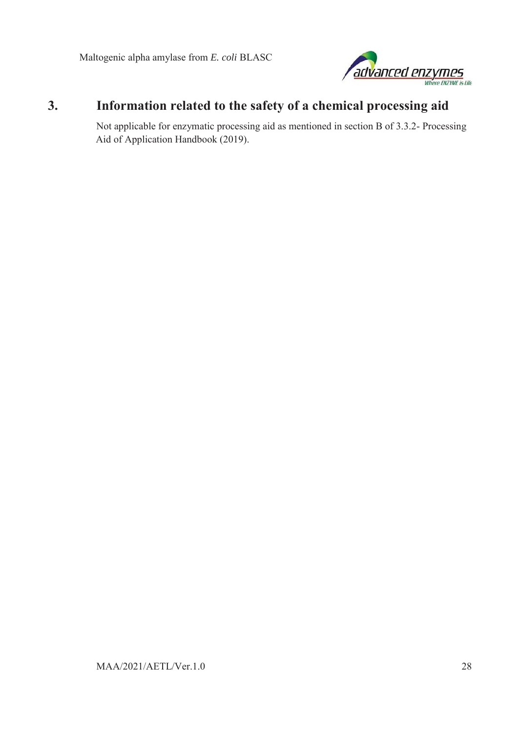

# **3. Information related to the safety of a chemical processing aid**

Not applicable for enzymatic processing aid as mentioned in section B of 3.3.2- Processing Aid of Application Handbook (2019).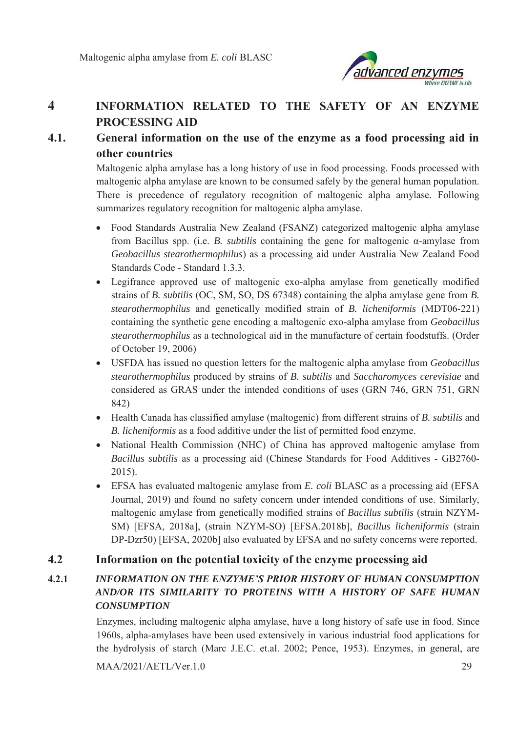

# **4 INFORMATION RELATED TO THE SAFETY OF AN ENZYME PROCESSING AID**

# **4.1. General information on the use of the enzyme as a food processing aid in other countries**

Maltogenic alpha amylase has a long history of use in food processing. Foods processed with maltogenic alpha amylase are known to be consumed safely by the general human population. There is precedence of regulatory recognition of maltogenic alpha amylase*.* Following summarizes regulatory recognition for maltogenic alpha amylase.

- Food Standards Australia New Zealand (FSANZ) categorized maltogenic alpha amylase from Bacillus spp. (i.e. *B. subtilis* containing the gene for maltogenic α-amylase from *Geobacillus stearothermophilus*) as a processing aid under Australia New Zealand Food Standards Code - Standard 1.3.3.
- Legifrance approved use of maltogenic exo-alpha amylase from genetically modified strains of *B. subtilis* (OC, SM, SO, DS 67348) containing the alpha amylase gene from *B. stearothermophilus* and genetically modified strain of *B. licheniformis* (MDT06-221) containing the synthetic gene encoding a maltogenic exo-alpha amylase from *Geobacillus stearothermophilus* as a technological aid in the manufacture of certain foodstuffs. (Order of October 19, 2006)
- x USFDA has issued no question letters for the maltogenic alpha amylase from *Geobacillus stearothermophilus* produced by strains of *B. subtilis* and *Saccharomyces cerevisiae* and considered as GRAS under the intended conditions of uses (GRN 746, GRN 751, GRN 842)
- x Health Canada has classified amylase (maltogenic) from different strains of *B. subtilis* and *B. licheniformis* as a food additive under the list of permitted food enzyme.
- National Health Commission (NHC) of China has approved maltogenic amylase from *Bacillus subtilis* as a processing aid (Chinese Standards for Food Additives - GB2760- 2015).
- EFSA has evaluated maltogenic amylase from *E. coli* BLASC as a processing aid (EFSA Journal, 2019) and found no safety concern under intended conditions of use. Similarly, maltogenic amylase from genetically modified strains of *Bacillus subtilis* (strain NZYM-SM) [EFSA, 2018a], (strain NZYM-SO) [EFSA.2018b], *Bacillus licheniformis* (strain DP-Dzr50) [EFSA, 2020b] also evaluated by EFSA and no safety concerns were reported.

# **4.2 Information on the potential toxicity of the enzyme processing aid**

# **4.2.1** *INFORMATION ON THE ENZYME'S PRIOR HISTORY OF HUMAN CONSUMPTION AND/OR ITS SIMILARITY TO PROTEINS WITH A HISTORY OF SAFE HUMAN CONSUMPTION*

Enzymes, including maltogenic alpha amylase, have a long history of safe use in food. Since 1960s, alpha-amylases have been used extensively in various industrial food applications for the hydrolysis of starch (Marc J.E.C. et.al. 2002; Pence, 1953). Enzymes, in general, are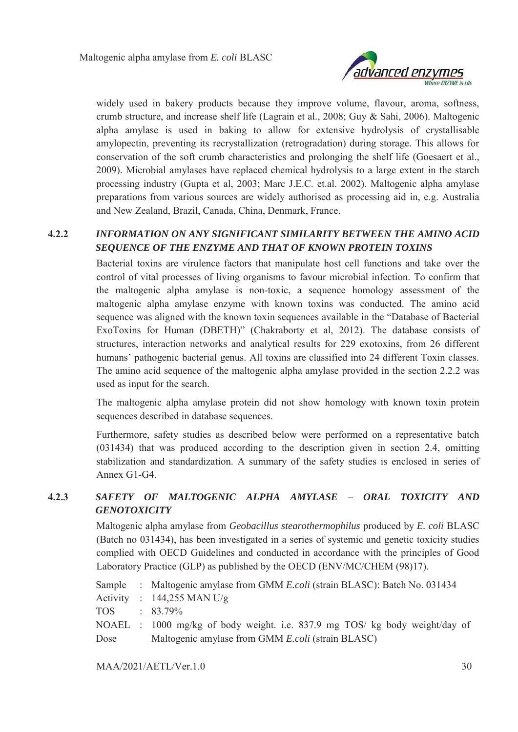

widely used in bakery products because they improve volume, flavour, aroma, softness, crumb structure, and increase shelf life (Lagrain et al., 2008; Guy & Sahi, 2006). Maltogenic alpha amylase is used in baking to allow for extensive hydrolysis of crystallisable amylopectin, preventing its recrystallization (retrogradation) during storage. This allows for conservation of the soft crumb characteristics and prolonging the shelf life (Goesaert et al., 2009). Microbial amylases have replaced chemical hydrolysis to a large extent in the starch processing industry (Gupta et al, 2003; Marc J.E.C. et.al. 2002). Maltogenic alpha amylase preparations from various sources are widely authorised as processing aid in, e.g. Australia and New Zealand, Brazil, Canada, China, Denmark, France.

## **4.2.2** *INFORMATION ON ANY SIGNIFICANT SIMILARITY BETWEEN THE AMINO ACID SEQUENCE OF THE ENZYME AND THAT OF KNOWN PROTEIN TOXINS*

Bacterial toxins are virulence factors that manipulate host cell functions and take over the control of vital processes of living organisms to favour microbial infection. To confirm that the maltogenic alpha amylase is non-toxic, a sequence homology assessment of the maltogenic alpha amylase enzyme with known toxins was conducted. The amino acid sequence was aligned with the known toxin sequences available in the "Database of Bacterial ExoToxins for Human (DBETH)" (Chakraborty et al, 2012). The database consists of structures, interaction networks and analytical results for 229 exotoxins, from 26 different humans' pathogenic bacterial genus. All toxins are classified into 24 different Toxin classes. The amino acid sequence of the maltogenic alpha amylase provided in the section 2.2.2 was used as input for the search.

The maltogenic alpha amylase protein did not show homology with known toxin protein sequences described in database sequences.

Furthermore, safety studies as described below were performed on a representative batch (031434) that was produced according to the description given in section 2.4, omitting stabilization and standardization. A summary of the safety studies is enclosed in series of Annex G1-G4.

# **4.2.3** *SAFETY OF MALTOGENIC ALPHA AMYLASE – ORAL TOXICITY AND GENOTOXICITY*

Maltogenic alpha amylase from *Geobacillus stearothermophilus* produced by *E. coli* BLASC (Batch no 031434), has been investigated in a series of systemic and genetic toxicity studies complied with OECD Guidelines and conducted in accordance with the principles of Good Laboratory Practice (GLP) as published by the OECD (ENV/MC/CHEM (98)17).

|              | Sample : Maltogenic amylase from GMM <i>E.coli</i> (strain BLASC): Batch No. 031434 |
|--------------|-------------------------------------------------------------------------------------|
|              | Activity : $144,255$ MAN U/g                                                        |
| TOS : 83.79% |                                                                                     |
|              | NOAEL: 1000 mg/kg of body weight. i.e. 837.9 mg TOS/ kg body weight/day of          |
| Dose         | Maltogenic amylase from GMM E.coli (strain BLASC)                                   |
|              |                                                                                     |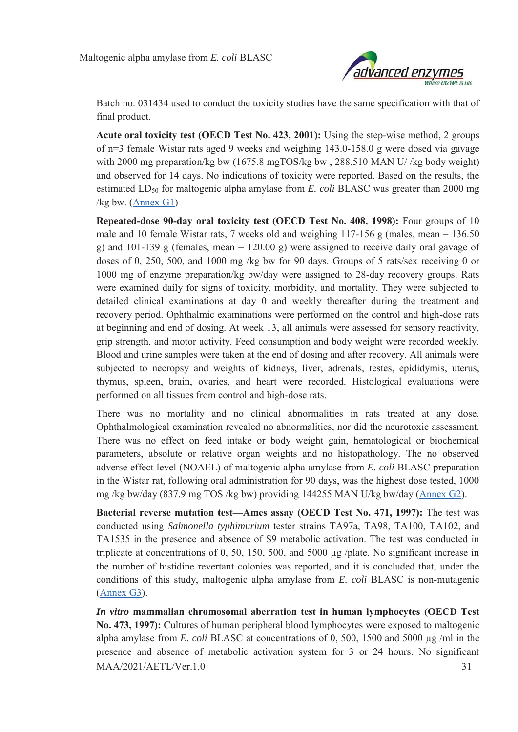

Batch no. 031434 used to conduct the toxicity studies have the same specification with that of final product.

**Acute oral toxicity test (OECD Test No. 423, 2001):** Using the step-wise method, 2 groups of n=3 female Wistar rats aged 9 weeks and weighing 143.0-158.0 g were dosed via gavage with 2000 mg preparation/kg bw (1675.8 mgTOS/kg bw, 288,510 MAN U/ /kg body weight) and observed for 14 days. No indications of toxicity were reported. Based on the results, the estimated LD<sub>50</sub> for maltogenic alpha amylase from *E. coli* BLASC was greater than 2000 mg /kg bw. (Annex G1)

**Repeated-dose 90-day oral toxicity test (OECD Test No. 408, 1998):** Four groups of 10 male and 10 female Wistar rats, 7 weeks old and weighing  $117-156$  g (males, mean = 136.50) g) and 101-139 g (females, mean = 120.00 g) were assigned to receive daily oral gavage of doses of 0, 250, 500, and 1000 mg /kg bw for 90 days. Groups of 5 rats/sex receiving 0 or 1000 mg of enzyme preparation/kg bw/day were assigned to 28-day recovery groups. Rats were examined daily for signs of toxicity, morbidity, and mortality. They were subjected to detailed clinical examinations at day 0 and weekly thereafter during the treatment and recovery period. Ophthalmic examinations were performed on the control and high-dose rats at beginning and end of dosing. At week 13, all animals were assessed for sensory reactivity, grip strength, and motor activity. Feed consumption and body weight were recorded weekly. Blood and urine samples were taken at the end of dosing and after recovery. All animals were subjected to necropsy and weights of kidneys, liver, adrenals, testes, epididymis, uterus, thymus, spleen, brain, ovaries, and heart were recorded. Histological evaluations were performed on all tissues from control and high-dose rats.

There was no mortality and no clinical abnormalities in rats treated at any dose. Ophthalmological examination revealed no abnormalities, nor did the neurotoxic assessment. There was no effect on feed intake or body weight gain, hematological or biochemical parameters, absolute or relative organ weights and no histopathology. The no observed adverse effect level (NOAEL) of maltogenic alpha amylase from *E. coli* BLASC preparation in the Wistar rat, following oral administration for 90 days, was the highest dose tested, 1000 mg /kg bw/day (837.9 mg TOS /kg bw) providing 144255 MAN U/kg bw/day (Annex G2).

**Bacterial reverse mutation test—Ames assay (OECD Test No. 471, 1997):** The test was conducted using *Salmonella typhimurium* tester strains TA97a, TA98, TA100, TA102, and TA1535 in the presence and absence of S9 metabolic activation. The test was conducted in triplicate at concentrations of 0, 50, 150, 500, and 5000 μg /plate. No significant increase in the number of histidine revertant colonies was reported, and it is concluded that, under the conditions of this study, maltogenic alpha amylase from *E. coli* BLASC is non-mutagenic (Annex G3).

 $MAA/2021/AETL/Ver.1.0$  31 *In vitro* **mammalian chromosomal aberration test in human lymphocytes (OECD Test No. 473, 1997):** Cultures of human peripheral blood lymphocytes were exposed to maltogenic alpha amylase from *E. coli* BLASC at concentrations of 0, 500, 1500 and 5000 μg /ml in the presence and absence of metabolic activation system for 3 or 24 hours. No significant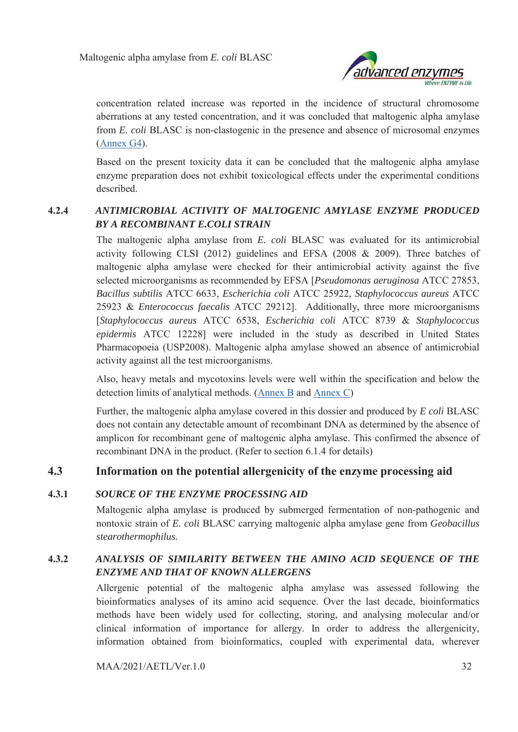

concentration related increase was reported in the incidence of structural chromosome aberrations at any tested concentration, and it was concluded that maltogenic alpha amylase from *E. coli* BLASC is non-clastogenic in the presence and absence of microsomal enzymes (Annex G4).

Based on the present toxicity data it can be concluded that the maltogenic alpha amylase enzyme preparation does not exhibit toxicological effects under the experimental conditions described.

# **4.2.4** *ANTIMICROBIAL ACTIVITY OF MALTOGENIC AMYLASE ENZYME PRODUCED BY A RECOMBINANT E.COLI STRAIN*

The maltogenic alpha amylase from *E. coli* BLASC was evaluated for its antimicrobial activity following CLSI (2012) guidelines and EFSA (2008 & 2009). Three batches of maltogenic alpha amylase were checked for their antimicrobial activity against the five selected microorganisms as recommended by EFSA [*Pseudomonas aeruginosa* ATCC 27853, *Bacillus subtilis* ATCC 6633, *Escherichia coli* ATCC 25922, *Staphylococcus aureus* ATCC 25923 & *Enterococcus faecalis* ATCC 29212]. Additionally, three more microorganisms [*Staphylococcus aureus* ATCC 6538, *Escherichia coli* ATCC 8739 & *Staphylococcus epidermis* ATCC 12228] were included in the study as described in United States Pharmacopoeia (USP2008). Maltogenic alpha amylase showed an absence of antimicrobial activity against all the test microorganisms.

Also, heavy metals and mycotoxins levels were well within the specification and below the detection limits of analytical methods. (Annex B and Annex C)

Further, the maltogenic alpha amylase covered in this dossier and produced by *E coli* BLASC does not contain any detectable amount of recombinant DNA as determined by the absence of amplicon for recombinant gene of maltogenic alpha amylase. This confirmed the absence of recombinant DNA in the product. (Refer to section 6.1.4 for details)

# **4.3 Information on the potential allergenicity of the enzyme processing aid**

### **4.3.1** *SOURCE OF THE ENZYME PROCESSING AID*

Maltogenic alpha amylase is produced by submerged fermentation of non-pathogenic and nontoxic strain of *E. coli* BLASC carrying maltogenic alpha amylase gene from *Geobacillus stearothermophilus.* 

# **4.3.2** *ANALYSIS OF SIMILARITY BETWEEN THE AMINO ACID SEQUENCE OF THE ENZYME AND THAT OF KNOWN ALLERGENS*

Allergenic potential of the maltogenic alpha amylase was assessed following the bioinformatics analyses of its amino acid sequence. Over the last decade, bioinformatics methods have been widely used for collecting, storing, and analysing molecular and/or clinical information of importance for allergy. In order to address the allergenicity, information obtained from bioinformatics, coupled with experimental data, wherever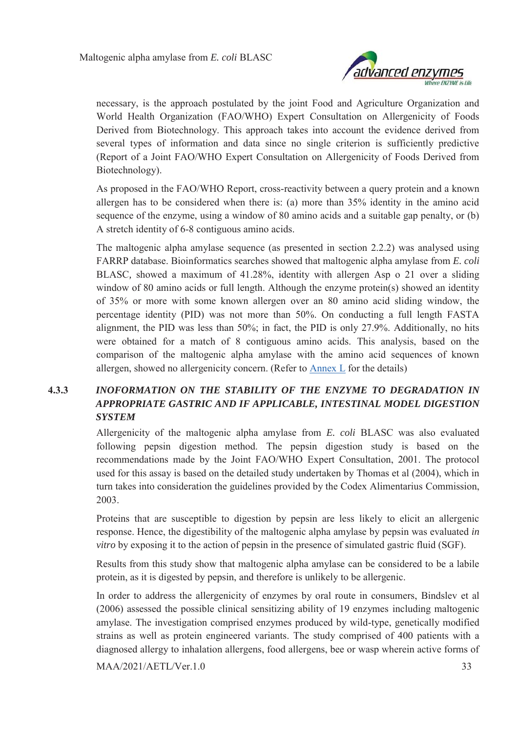

necessary, is the approach postulated by the joint Food and Agriculture Organization and World Health Organization (FAO/WHO) Expert Consultation on Allergenicity of Foods Derived from Biotechnology. This approach takes into account the evidence derived from several types of information and data since no single criterion is sufficiently predictive (Report of a Joint FAO/WHO Expert Consultation on Allergenicity of Foods Derived from Biotechnology).

As proposed in the FAO/WHO Report, cross-reactivity between a query protein and a known allergen has to be considered when there is: (a) more than 35% identity in the amino acid sequence of the enzyme, using a window of 80 amino acids and a suitable gap penalty, or (b) A stretch identity of 6-8 contiguous amino acids.

The maltogenic alpha amylase sequence (as presented in section 2.2.2) was analysed using FARRP database. Bioinformatics searches showed that maltogenic alpha amylase from *E. coli*  BLASC*,* showed a maximum of 41.28%, identity with allergen Asp o 21 over a sliding window of 80 amino acids or full length. Although the enzyme protein(s) showed an identity of 35% or more with some known allergen over an 80 amino acid sliding window, the percentage identity (PID) was not more than 50%. On conducting a full length FASTA alignment, the PID was less than 50%; in fact, the PID is only 27.9%. Additionally, no hits were obtained for a match of 8 contiguous amino acids. This analysis, based on the comparison of the maltogenic alpha amylase with the amino acid sequences of known allergen, showed no allergenicity concern. (Refer to Annex L for the details)

# **4.3.3** *INOFORMATION ON THE STABILITY OF THE ENZYME TO DEGRADATION IN APPROPRIATE GASTRIC AND IF APPLICABLE, INTESTINAL MODEL DIGESTION SYSTEM*

Allergenicity of the maltogenic alpha amylase from *E. coli* BLASC was also evaluated following pepsin digestion method. The pepsin digestion study is based on the recommendations made by the Joint FAO/WHO Expert Consultation, 2001. The protocol used for this assay is based on the detailed study undertaken by Thomas et al (2004), which in turn takes into consideration the guidelines provided by the Codex Alimentarius Commission, 2003.

Proteins that are susceptible to digestion by pepsin are less likely to elicit an allergenic response. Hence, the digestibility of the maltogenic alpha amylase by pepsin was evaluated *in vitro* by exposing it to the action of pepsin in the presence of simulated gastric fluid (SGF).

Results from this study show that maltogenic alpha amylase can be considered to be a labile protein, as it is digested by pepsin, and therefore is unlikely to be allergenic.

In order to address the allergenicity of enzymes by oral route in consumers, Bindslev et al (2006) assessed the possible clinical sensitizing ability of 19 enzymes including maltogenic amylase. The investigation comprised enzymes produced by wild-type, genetically modified strains as well as protein engineered variants. The study comprised of 400 patients with a diagnosed allergy to inhalation allergens, food allergens, bee or wasp wherein active forms of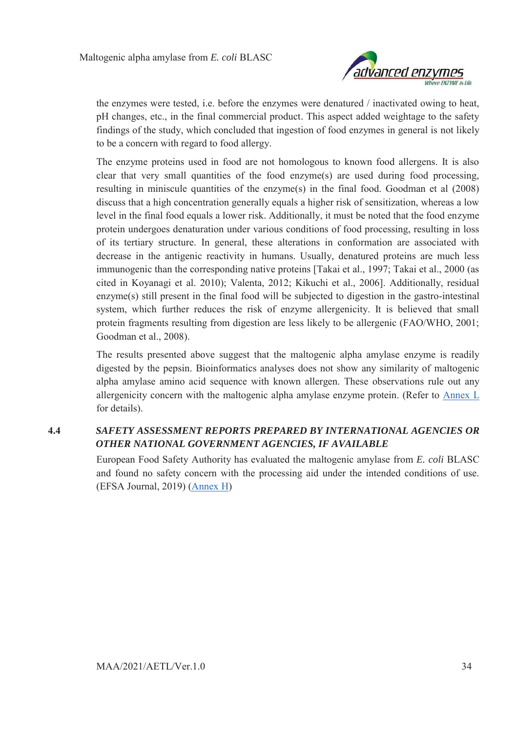

the enzymes were tested, i.e. before the enzymes were denatured / inactivated owing to heat, pH changes, etc., in the final commercial product. This aspect added weightage to the safety findings of the study, which concluded that ingestion of food enzymes in general is not likely to be a concern with regard to food allergy.

The enzyme proteins used in food are not homologous to known food allergens. It is also clear that very small quantities of the food enzyme(s) are used during food processing, resulting in miniscule quantities of the enzyme(s) in the final food. Goodman et al (2008) discuss that a high concentration generally equals a higher risk of sensitization, whereas a low level in the final food equals a lower risk. Additionally, it must be noted that the food enzyme protein undergoes denaturation under various conditions of food processing, resulting in loss of its tertiary structure. In general, these alterations in conformation are associated with decrease in the antigenic reactivity in humans. Usually, denatured proteins are much less immunogenic than the corresponding native proteins [Takai et al., 1997; Takai et al., 2000 (as cited in Koyanagi et al. 2010); Valenta, 2012; Kikuchi et al., 2006]. Additionally, residual enzyme(s) still present in the final food will be subjected to digestion in the gastro-intestinal system, which further reduces the risk of enzyme allergenicity. It is believed that small protein fragments resulting from digestion are less likely to be allergenic (FAO/WHO, 2001; Goodman et al., 2008).

The results presented above suggest that the maltogenic alpha amylase enzyme is readily digested by the pepsin. Bioinformatics analyses does not show any similarity of maltogenic alpha amylase amino acid sequence with known allergen. These observations rule out any allergenicity concern with the maltogenic alpha amylase enzyme protein. (Refer to Annex L for details).

# **4.4** *SAFETY ASSESSMENT REPORTS PREPARED BY INTERNATIONAL AGENCIES OR OTHER NATIONAL GOVERNMENT AGENCIES, IF AVAILABLE*

European Food Safety Authority has evaluated the maltogenic amylase from *E. coli* BLASC and found no safety concern with the processing aid under the intended conditions of use. (EFSA Journal, 2019) (Annex H)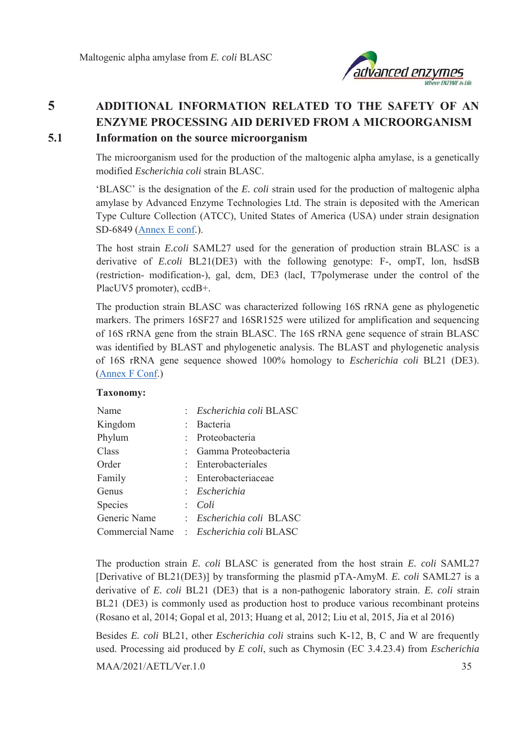

# **5 ADDITIONAL INFORMATION RELATED TO THE SAFETY OF AN ENZYME PROCESSING AID DERIVED FROM A MICROORGANISM 5.1 Information on the source microorganism**

The microorganism used for the production of the maltogenic alpha amylase, is a genetically modified *Escherichia coli* strain BLASC.

'BLASC' is the designation of the *E. coli* strain used for the production of maltogenic alpha amylase by Advanced Enzyme Technologies Ltd. The strain is deposited with the American Type Culture Collection (ATCC), United States of America (USA) under strain designation SD-6849 (Annex E conf.).

The host strain *E.coli* SAML27 used for the generation of production strain BLASC is a derivative of *E.coli* BL21(DE3) with the following genotype: F-, ompT, lon, hsdSB (restriction- modification-), gal, dcm, DE3 (lacI, T7polymerase under the control of the PlacUV5 promoter), ccdB+.

The production strain BLASC was characterized following 16S rRNA gene as phylogenetic markers. The primers 16SF27 and 16SR1525 were utilized for amplification and sequencing of 16S rRNA gene from the strain BLASC. The 16S rRNA gene sequence of strain BLASC was identified by BLAST and phylogenetic analysis. The BLAST and phylogenetic analysis of 16S rRNA gene sequence showed 100% homology to *Escherichia coli* BL21 (DE3). (Annex F Conf.)

#### **Taxonomy:**

| Name         |               | : Escherichia coli BLASC                 |
|--------------|---------------|------------------------------------------|
| Kingdom      | ÷.            | Bacteria                                 |
| Phylum       |               | Proteobacteria                           |
| Class        | $\mathcal{L}$ | Gamma Proteobacteria                     |
| Order        | $\bullet$ .   | Enterobacteriales                        |
| Family       | $\mathcal{L}$ | Enterobacteriaceae                       |
| Genus        |               | : Escherichia                            |
| Species      | ÷             | Coli                                     |
| Generic Name |               | : Escherichia coli BLASC                 |
|              |               | Commercial Name : Escherichia coli BLASC |

The production strain *E. coli* BLASC is generated from the host strain *E. coli* SAML27 [Derivative of BL21(DE3)] by transforming the plasmid pTA-AmyM. *E. coli* SAML27 is a derivative of *E. coli* BL21 (DE3) that is a non-pathogenic laboratory strain. *E. coli* strain BL21 (DE3) is commonly used as production host to produce various recombinant proteins (Rosano et al, 2014; Gopal et al, 2013; Huang et al, 2012; Liu et al, 2015, Jia et al 2016)

MAA/2021/AETL/Ver.1.0 35 Besides *E. coli* BL21, other *Escherichia coli* strains such K-12, B, C and W are frequently used. Processing aid produced by *E coli*, such as Chymosin (EC 3.4.23.4) from *Escherichia*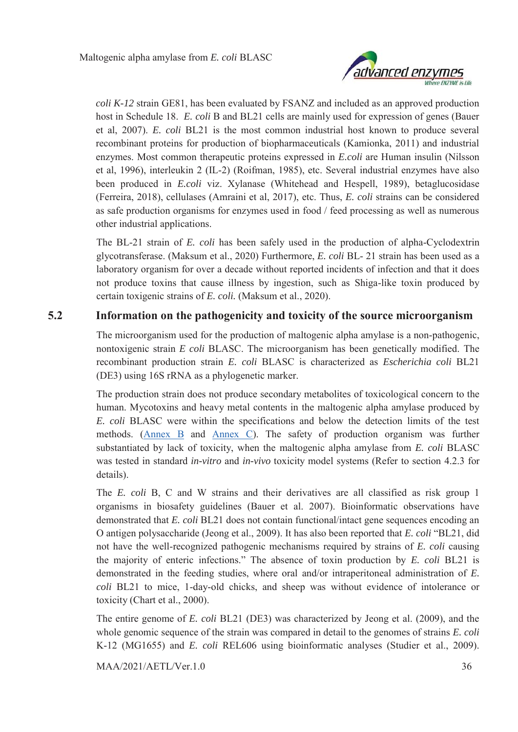

*coli K-12* strain GE81, has been evaluated by FSANZ and included as an approved production host in Schedule 18. *E. coli* B and BL21 cells are mainly used for expression of genes (Bauer et al, 2007). *E. coli* BL21 is the most common industrial host known to produce several recombinant proteins for production of biopharmaceuticals (Kamionka, 2011) and industrial enzymes. Most common therapeutic proteins expressed in *E.coli* are Human insulin (Nilsson et al, 1996), interleukin 2 (IL-2) (Roifman, 1985), etc. Several industrial enzymes have also been produced in *E.coli* viz. Xylanase (Whitehead and Hespell, 1989), betaglucosidase (Ferreira, 2018), cellulases (Amraini et al, 2017), etc. Thus, *E. coli* strains can be considered as safe production organisms for enzymes used in food / feed processing as well as numerous other industrial applications.

The BL-21 strain of *E. coli* has been safely used in the production of alpha-Cyclodextrin glycotransferase. (Maksum et al., 2020) Furthermore, *E. coli* BL- 21 strain has been used as a laboratory organism for over a decade without reported incidents of infection and that it does not produce toxins that cause illness by ingestion, such as Shiga-like toxin produced by certain toxigenic strains of *E. coli.* (Maksum et al., 2020).

# **5.2 Information on the pathogenicity and toxicity of the source microorganism**

The microorganism used for the production of maltogenic alpha amylase is a non-pathogenic, nontoxigenic strain *E coli* BLASC. The microorganism has been genetically modified. The recombinant production strain *E. coli* BLASC is characterized as *Escherichia coli* BL21 (DE3) using 16S rRNA as a phylogenetic marker.

The production strain does not produce secondary metabolites of toxicological concern to the human. Mycotoxins and heavy metal contents in the maltogenic alpha amylase produced by *E. coli* BLASC were within the specifications and below the detection limits of the test methods. (Annex B and Annex C). The safety of production organism was further substantiated by lack of toxicity, when the maltogenic alpha amylase from *E. coli* BLASC was tested in standard *in-vitro* and *in-vivo* toxicity model systems (Refer to section 4.2.3 for details).

The *E. coli* B, C and W strains and their derivatives are all classified as risk group 1 organisms in biosafety guidelines (Bauer et al. 2007). Bioinformatic observations have demonstrated that *E. coli* BL21 does not contain functional/intact gene sequences encoding an O antigen polysaccharide (Jeong et al., 2009). It has also been reported that *E. coli* "BL21, did not have the well-recognized pathogenic mechanisms required by strains of *E. coli* causing the majority of enteric infections." The absence of toxin production by *E. coli* BL21 is demonstrated in the feeding studies, where oral and/or intraperitoneal administration of *E. coli* BL21 to mice, 1-day-old chicks, and sheep was without evidence of intolerance or toxicity (Chart et al., 2000).

The entire genome of *E. coli* BL21 (DE3) was characterized by Jeong et al. (2009), and the whole genomic sequence of the strain was compared in detail to the genomes of strains *E. coli* K-12 (MG1655) and *E. coli* REL606 using bioinformatic analyses (Studier et al., 2009).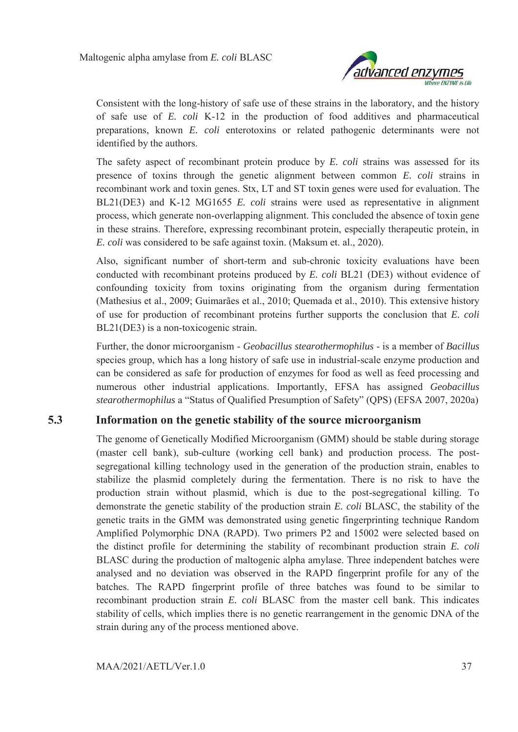

Consistent with the long-history of safe use of these strains in the laboratory, and the history of safe use of *E. coli* K-12 in the production of food additives and pharmaceutical preparations, known *E. coli* enterotoxins or related pathogenic determinants were not identified by the authors.

The safety aspect of recombinant protein produce by *E. coli* strains was assessed for its presence of toxins through the genetic alignment between common *E. coli* strains in recombinant work and toxin genes. Stx, LT and ST toxin genes were used for evaluation. The BL21(DE3) and K-12 MG1655 *E. coli* strains were used as representative in alignment process, which generate non-overlapping alignment. This concluded the absence of toxin gene in these strains. Therefore, expressing recombinant protein, especially therapeutic protein, in *E. coli* was considered to be safe against toxin. (Maksum et. al., 2020).

Also, significant number of short-term and sub-chronic toxicity evaluations have been conducted with recombinant proteins produced by *E. coli* BL21 (DE3) without evidence of confounding toxicity from toxins originating from the organism during fermentation (Mathesius et al., 2009; Guimarães et al., 2010; Quemada et al., 2010). This extensive history of use for production of recombinant proteins further supports the conclusion that *E. coli* BL21(DE3) is a non-toxicogenic strain.

Further, the donor microorganism - *Geobacillus stearothermophilus* - is a member of *Bacillus* species group, which has a long history of safe use in industrial-scale enzyme production and can be considered as safe for production of enzymes for food as well as feed processing and numerous other industrial applications. Importantly, EFSA has assigned *Geobacillus stearothermophilus* a "Status of Qualified Presumption of Safety" (QPS) (EFSA 2007, 2020a)

# **5.3 Information on the genetic stability of the source microorganism**

The genome of Genetically Modified Microorganism (GMM) should be stable during storage (master cell bank), sub-culture (working cell bank) and production process. The postsegregational killing technology used in the generation of the production strain, enables to stabilize the plasmid completely during the fermentation. There is no risk to have the production strain without plasmid, which is due to the post-segregational killing. To demonstrate the genetic stability of the production strain *E. coli* BLASC, the stability of the genetic traits in the GMM was demonstrated using genetic fingerprinting technique Random Amplified Polymorphic DNA (RAPD). Two primers P2 and 15002 were selected based on the distinct profile for determining the stability of recombinant production strain *E. coli* BLASC during the production of maltogenic alpha amylase. Three independent batches were analysed and no deviation was observed in the RAPD fingerprint profile for any of the batches. The RAPD fingerprint profile of three batches was found to be similar to recombinant production strain *E. coli* BLASC from the master cell bank. This indicates stability of cells, which implies there is no genetic rearrangement in the genomic DNA of the strain during any of the process mentioned above.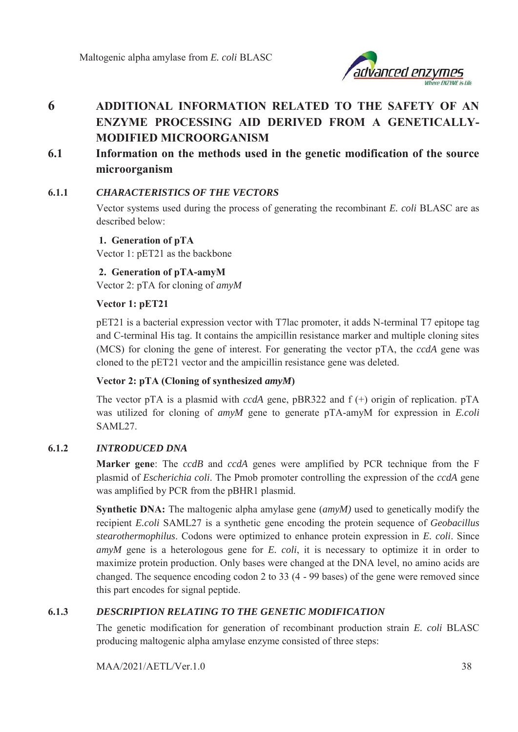

# **6 ADDITIONAL INFORMATION RELATED TO THE SAFETY OF AN ENZYME PROCESSING AID DERIVED FROM A GENETICALLY-MODIFIED MICROORGANISM**

**6.1 Information on the methods used in the genetic modification of the source microorganism** 

### **6.1.1** *CHARACTERISTICS OF THE VECTORS*

Vector systems used during the process of generating the recombinant *E. coli* BLASC are as described below:

**1. Generation of pTA**  Vector 1: pET21 as the backbone

**2. Generation of pTA-amyM** 

Vector 2: pTA for cloning of *amyM*

### **Vector 1: pET21**

pET21 is a bacterial expression vector with T7lac promoter, it adds N-terminal T7 epitope tag and C-terminal His tag. It contains the ampicillin resistance marker and multiple cloning sites (MCS) for cloning the gene of interest. For generating the vector pTA, the *ccdA* gene was cloned to the pET21 vector and the ampicillin resistance gene was deleted.

### **Vector 2: pTA (Cloning of synthesized** *amyM***)**

The vector pTA is a plasmid with *ccdA* gene, pBR322 and f (+) origin of replication. pTA was utilized for cloning of *amyM* gene to generate pTA-amyM for expression in *E.coli* SAML27.

### **6.1.2** *INTRODUCED DNA*

**Marker gene**: The *ccdB* and *ccdA* genes were amplified by PCR technique from the F plasmid of *Escherichia coli*. The Pmob promoter controlling the expression of the *ccdA* gene was amplified by PCR from the pBHR1 plasmid.

**Synthetic DNA:** The maltogenic alpha amylase gene (*amyM)* used to genetically modify the recipient *E.coli* SAML27 is a synthetic gene encoding the protein sequence of *Geobacillus stearothermophilus*. Codons were optimized to enhance protein expression in *E. coli*. Since *amyM* gene is a heterologous gene for *E. coli*, it is necessary to optimize it in order to maximize protein production. Only bases were changed at the DNA level, no amino acids are changed. The sequence encoding codon 2 to 33 (4 - 99 bases) of the gene were removed since this part encodes for signal peptide.

### **6.1.3** *DESCRIPTION RELATING TO THE GENETIC MODIFICATION*

The genetic modification for generation of recombinant production strain *E. coli* BLASC producing maltogenic alpha amylase enzyme consisted of three steps: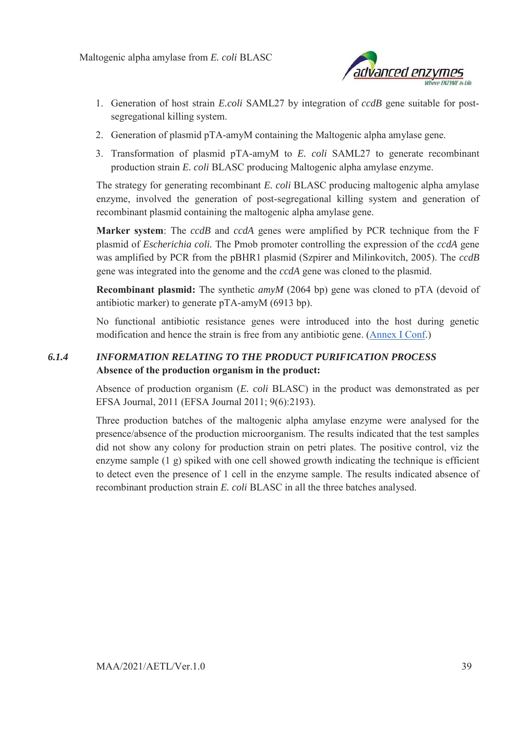

- 1. Generation of host strain *E.coli* SAML27 by integration of *ccdB* gene suitable for postsegregational killing system.
- 2. Generation of plasmid pTA-amyM containing the Maltogenic alpha amylase gene.
- 3. Transformation of plasmid pTA-amyM to *E. coli* SAML27 to generate recombinant production strain *E. coli* BLASC producing Maltogenic alpha amylase enzyme.

The strategy for generating recombinant *E. coli* BLASC producing maltogenic alpha amylase enzyme, involved the generation of post-segregational killing system and generation of recombinant plasmid containing the maltogenic alpha amylase gene.

**Marker system**: The *ccdB* and *ccdA* genes were amplified by PCR technique from the F plasmid of *Escherichia coli.* The Pmob promoter controlling the expression of the *ccdA* gene was amplified by PCR from the pBHR1 plasmid (Szpirer and Milinkovitch, 2005). The *ccdB* gene was integrated into the genome and the *ccdA* gene was cloned to the plasmid.

**Recombinant plasmid:** The synthetic *amyM* (2064 bp) gene was cloned to pTA (devoid of antibiotic marker) to generate pTA-amyM (6913 bp).

No functional antibiotic resistance genes were introduced into the host during genetic modification and hence the strain is free from any antibiotic gene. (Annex I Conf.)

## *6.1.4 INFORMATION RELATING TO THE PRODUCT PURIFICATION PROCESS*  **Absence of the production organism in the product:**

Absence of production organism (*E. coli* BLASC) in the product was demonstrated as per EFSA Journal, 2011 (EFSA Journal 2011; 9(6):2193).

Three production batches of the maltogenic alpha amylase enzyme were analysed for the presence/absence of the production microorganism. The results indicated that the test samples did not show any colony for production strain on petri plates. The positive control, viz the enzyme sample (1 g) spiked with one cell showed growth indicating the technique is efficient to detect even the presence of 1 cell in the enzyme sample. The results indicated absence of recombinant production strain *E. coli* BLASC in all the three batches analysed.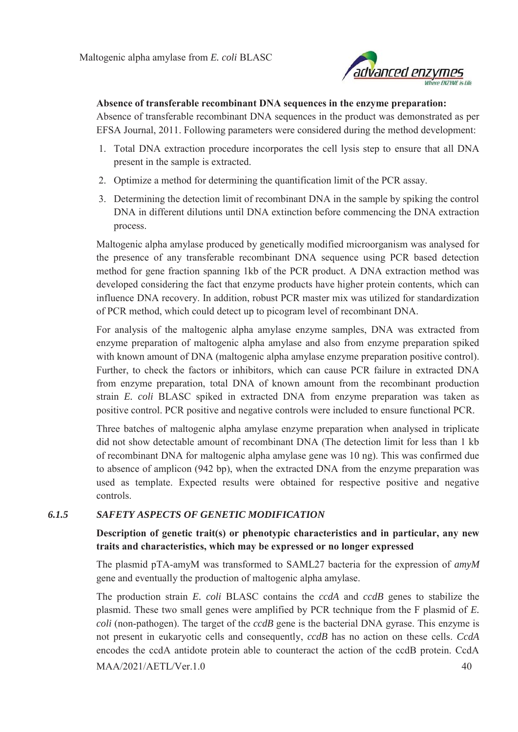

#### **Absence of transferable recombinant DNA sequences in the enzyme preparation:**

Absence of transferable recombinant DNA sequences in the product was demonstrated as per EFSA Journal, 2011. Following parameters were considered during the method development:

- 1. Total DNA extraction procedure incorporates the cell lysis step to ensure that all DNA present in the sample is extracted.
- 2. Optimize a method for determining the quantification limit of the PCR assay.
- 3. Determining the detection limit of recombinant DNA in the sample by spiking the control DNA in different dilutions until DNA extinction before commencing the DNA extraction process.

Maltogenic alpha amylase produced by genetically modified microorganism was analysed for the presence of any transferable recombinant DNA sequence using PCR based detection method for gene fraction spanning 1kb of the PCR product. A DNA extraction method was developed considering the fact that enzyme products have higher protein contents, which can influence DNA recovery. In addition, robust PCR master mix was utilized for standardization of PCR method, which could detect up to picogram level of recombinant DNA.

For analysis of the maltogenic alpha amylase enzyme samples, DNA was extracted from enzyme preparation of maltogenic alpha amylase and also from enzyme preparation spiked with known amount of DNA (maltogenic alpha amylase enzyme preparation positive control). Further, to check the factors or inhibitors, which can cause PCR failure in extracted DNA from enzyme preparation, total DNA of known amount from the recombinant production strain *E. coli* BLASC spiked in extracted DNA from enzyme preparation was taken as positive control. PCR positive and negative controls were included to ensure functional PCR.

Three batches of maltogenic alpha amylase enzyme preparation when analysed in triplicate did not show detectable amount of recombinant DNA (The detection limit for less than 1 kb of recombinant DNA for maltogenic alpha amylase gene was 10 ng). This was confirmed due to absence of amplicon (942 bp), when the extracted DNA from the enzyme preparation was used as template. Expected results were obtained for respective positive and negative controls.

### *6.1.5 SAFETY ASPECTS OF GENETIC MODIFICATION*

## **Description of genetic trait(s) or phenotypic characteristics and in particular, any new traits and characteristics, which may be expressed or no longer expressed**

The plasmid pTA-amyM was transformed to SAML27 bacteria for the expression of *amyM* gene and eventually the production of maltogenic alpha amylase.

MAA/2021/AETL/Ver.1.0 40 The production strain *E. coli* BLASC contains the *ccdA* and *ccdB* genes to stabilize the plasmid. These two small genes were amplified by PCR technique from the F plasmid of *E. coli* (non-pathogen). The target of the *ccdB* gene is the bacterial DNA gyrase. This enzyme is not present in eukaryotic cells and consequently, *ccdB* has no action on these cells. *CcdA* encodes the ccdA antidote protein able to counteract the action of the ccdB protein. CcdA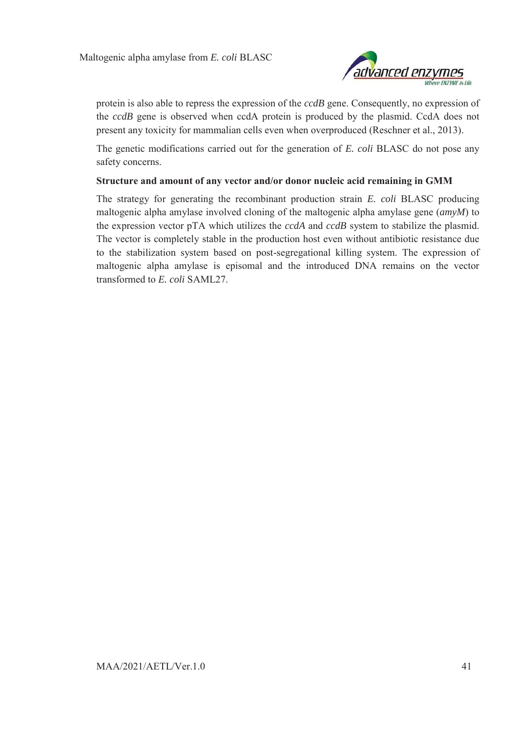

protein is also able to repress the expression of the *ccdB* gene. Consequently, no expression of the *ccdB* gene is observed when ccdA protein is produced by the plasmid. CcdA does not present any toxicity for mammalian cells even when overproduced (Reschner et al., 2013).

The genetic modifications carried out for the generation of *E. coli* BLASC do not pose any safety concerns.

#### **Structure and amount of any vector and/or donor nucleic acid remaining in GMM**

The strategy for generating the recombinant production strain *E. coli* BLASC producing maltogenic alpha amylase involved cloning of the maltogenic alpha amylase gene (*amyM*) to the expression vector pTA which utilizes the *ccdA* and *ccdB* system to stabilize the plasmid. The vector is completely stable in the production host even without antibiotic resistance due to the stabilization system based on post-segregational killing system. The expression of maltogenic alpha amylase is episomal and the introduced DNA remains on the vector transformed to *E. coli* SAML27.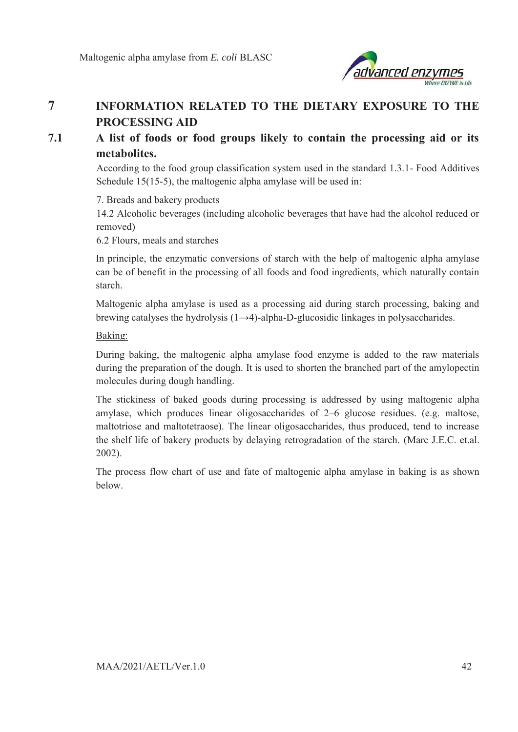

# **7 INFORMATION RELATED TO THE DIETARY EXPOSURE TO THE PROCESSING AID**

# **7.1 A list of foods or food groups likely to contain the processing aid or its metabolites.**

According to the food group classification system used in the standard 1.3.1- Food Additives Schedule 15(15-5), the maltogenic alpha amylase will be used in:

7. Breads and bakery products

14.2 Alcoholic beverages (including alcoholic beverages that have had the alcohol reduced or removed)

6.2 Flours, meals and starches

In principle, the enzymatic conversions of starch with the help of maltogenic alpha amylase can be of benefit in the processing of all foods and food ingredients, which naturally contain starch.

Maltogenic alpha amylase is used as a processing aid during starch processing, baking and brewing catalyses the hydrolysis  $(1\rightarrow 4)$ -alpha-D-glucosidic linkages in polysaccharides.

Baking:

During baking, the maltogenic alpha amylase food enzyme is added to the raw materials during the preparation of the dough. It is used to shorten the branched part of the amylopectin molecules during dough handling.

The stickiness of baked goods during processing is addressed by using maltogenic alpha amylase, which produces linear oligosaccharides of 2–6 glucose residues. (e.g. maltose, maltotriose and maltotetraose). The linear oligosaccharides, thus produced, tend to increase the shelf life of bakery products by delaying retrogradation of the starch. (Marc J.E.C. et.al. 2002).

The process flow chart of use and fate of maltogenic alpha amylase in baking is as shown below.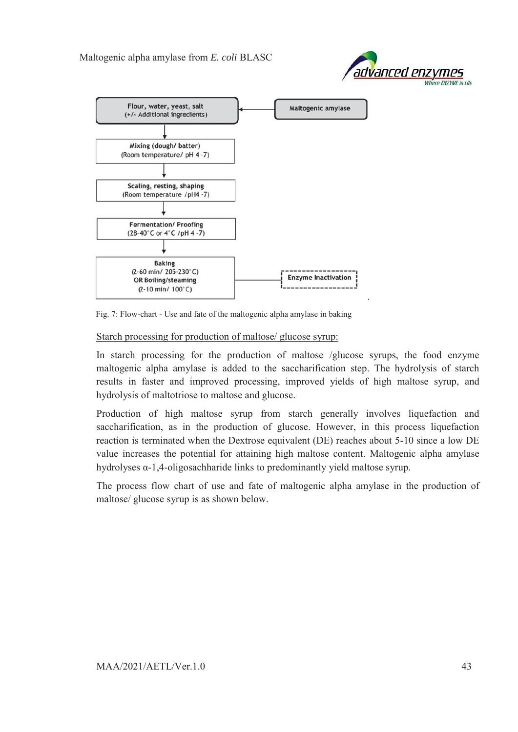



Fig. 7: Flow-chart - Use and fate of the maltogenic alpha amylase in baking

#### Starch processing for production of maltose/ glucose syrup:

In starch processing for the production of maltose /glucose syrups, the food enzyme maltogenic alpha amylase is added to the saccharification step. The hydrolysis of starch results in faster and improved processing, improved yields of high maltose syrup, and hydrolysis of maltotriose to maltose and glucose.

Production of high maltose syrup from starch generally involves liquefaction and saccharification, as in the production of glucose. However, in this process liquefaction reaction is terminated when the Dextrose equivalent (DE) reaches about 5-10 since a low DE value increases the potential for attaining high maltose content. Maltogenic alpha amylase hydrolyses α-1,4-oligosachharide links to predominantly yield maltose syrup.

The process flow chart of use and fate of maltogenic alpha amylase in the production of maltose/ glucose syrup is as shown below.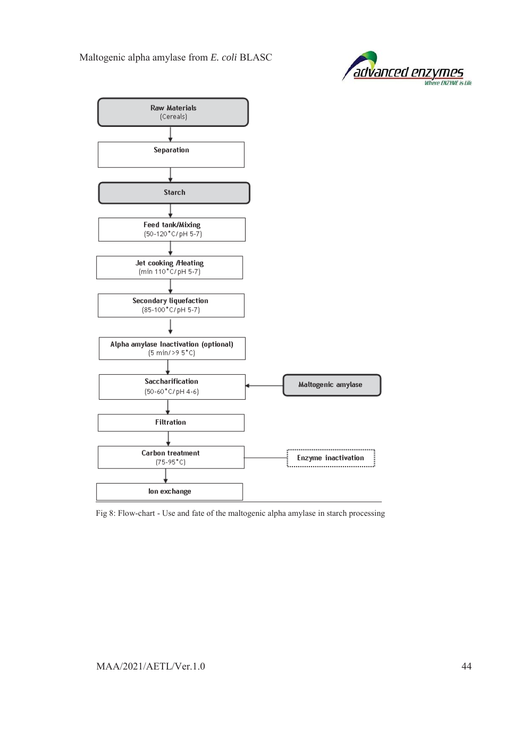



Fig 8: Flow-chart - Use and fate of the maltogenic alpha amylase in starch processing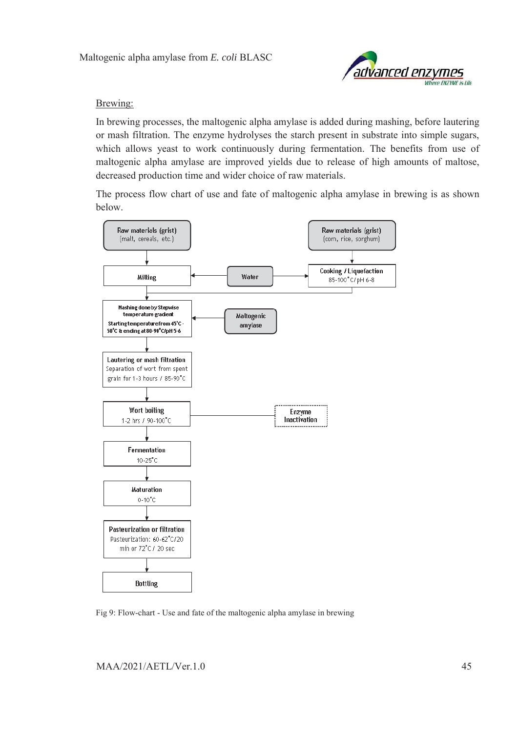

#### Brewing:

In brewing processes, the maltogenic alpha amylase is added during mashing, before lautering or mash filtration. The enzyme hydrolyses the starch present in substrate into simple sugars, which allows yeast to work continuously during fermentation. The benefits from use of maltogenic alpha amylase are improved yields due to release of high amounts of maltose, decreased production time and wider choice of raw materials.

The process flow chart of use and fate of maltogenic alpha amylase in brewing is as shown below.



Fig 9: Flow-chart - Use and fate of the maltogenic alpha amylase in brewing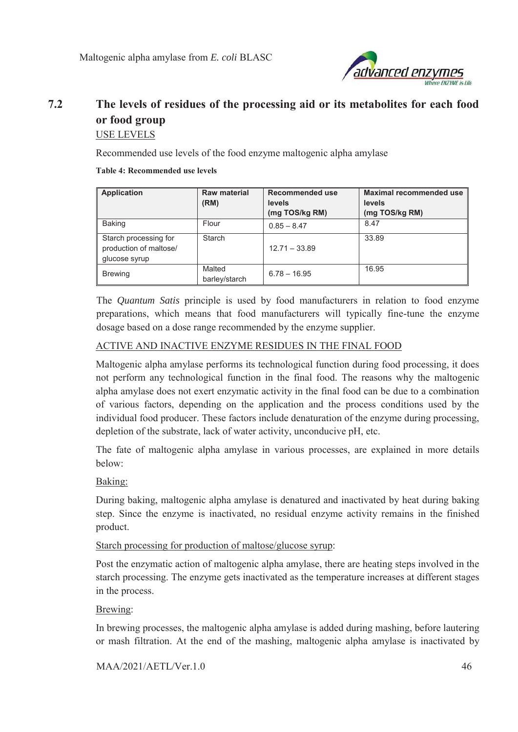

# **7.2 The levels of residues of the processing aid or its metabolites for each food or food group**  USE LEVELS

Recommended use levels of the food enzyme maltogenic alpha amylase

#### **Table 4: Recommended use levels**

| <b>Application</b>                                               | Raw material<br>(RM)    | Recommended use<br>levels<br>(mg TOS/kg RM) | <b>Maximal recommended use</b><br>levels<br>(mg TOS/kg RM) |
|------------------------------------------------------------------|-------------------------|---------------------------------------------|------------------------------------------------------------|
| Baking                                                           | Flour                   | $0.85 - 8.47$                               | 8.47                                                       |
| Starch processing for<br>production of maltose/<br>glucose syrup | Starch                  | $12.71 - 33.89$                             | 33.89                                                      |
| <b>Brewing</b>                                                   | Malted<br>barley/starch | $6.78 - 16.95$                              | 16.95                                                      |

The *Quantum Satis* principle is used by food manufacturers in relation to food enzyme preparations, which means that food manufacturers will typically fine-tune the enzyme dosage based on a dose range recommended by the enzyme supplier.

### ACTIVE AND INACTIVE ENZYME RESIDUES IN THE FINAL FOOD

Maltogenic alpha amylase performs its technological function during food processing, it does not perform any technological function in the final food. The reasons why the maltogenic alpha amylase does not exert enzymatic activity in the final food can be due to a combination of various factors, depending on the application and the process conditions used by the individual food producer. These factors include denaturation of the enzyme during processing, depletion of the substrate, lack of water activity, unconducive pH, etc.

The fate of maltogenic alpha amylase in various processes, are explained in more details below:

### Baking:

During baking, maltogenic alpha amylase is denatured and inactivated by heat during baking step. Since the enzyme is inactivated, no residual enzyme activity remains in the finished product.

### Starch processing for production of maltose/glucose syrup:

Post the enzymatic action of maltogenic alpha amylase, there are heating steps involved in the starch processing. The enzyme gets inactivated as the temperature increases at different stages in the process.

#### Brewing:

In brewing processes, the maltogenic alpha amylase is added during mashing, before lautering or mash filtration. At the end of the mashing, maltogenic alpha amylase is inactivated by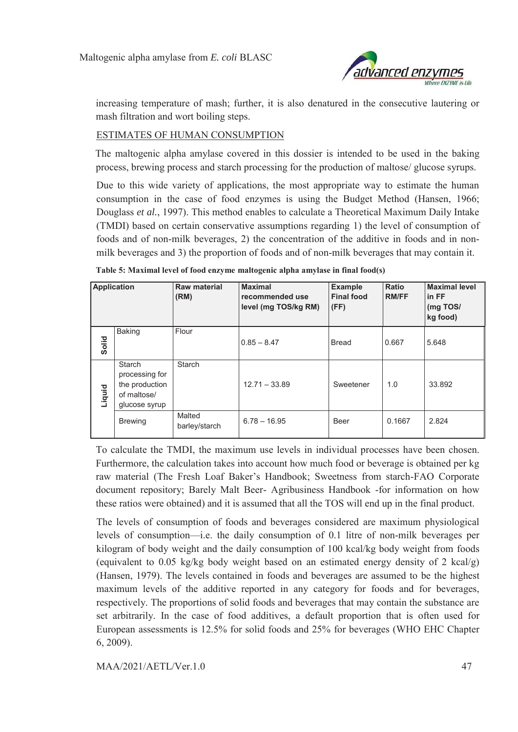

increasing temperature of mash; further, it is also denatured in the consecutive lautering or mash filtration and wort boiling steps.

#### ESTIMATES OF HUMAN CONSUMPTION

The maltogenic alpha amylase covered in this dossier is intended to be used in the baking process, brewing process and starch processing for the production of maltose/ glucose syrups.

Due to this wide variety of applications, the most appropriate way to estimate the human consumption in the case of food enzymes is using the Budget Method (Hansen, 1966; Douglass *et al.*, 1997). This method enables to calculate a Theoretical Maximum Daily Intake (TMDI) based on certain conservative assumptions regarding 1) the level of consumption of foods and of non-milk beverages, 2) the concentration of the additive in foods and in nonmilk beverages and 3) the proportion of foods and of non-milk beverages that may contain it.

| <b>Application</b> |                                                                                   | <b>Raw material</b><br>(RM) | <b>Maximal</b><br>recommended use<br>level (mg TOS/kg RM) | <b>Example</b><br><b>Final food</b><br>(FF) | <b>Ratio</b><br><b>RM/FF</b> | <b>Maximal level</b><br>in FF<br>(mg TOS/<br>kg food) |
|--------------------|-----------------------------------------------------------------------------------|-----------------------------|-----------------------------------------------------------|---------------------------------------------|------------------------------|-------------------------------------------------------|
| Solid              | <b>Baking</b>                                                                     | Flour                       | $0.85 - 8.47$                                             | <b>Bread</b>                                | 0.667                        | 5.648                                                 |
| Liquid             | <b>Starch</b><br>processing for<br>the production<br>of maltose/<br>glucose syrup | Starch                      | $12.71 - 33.89$                                           | Sweetener                                   | 1.0                          | 33.892                                                |
|                    | <b>Brewing</b>                                                                    | Malted<br>barley/starch     | $6.78 - 16.95$                                            | Beer                                        | 0.1667                       | 2.824                                                 |

**Table 5: Maximal level of food enzyme maltogenic alpha amylase in final food(s)** 

To calculate the TMDI, the maximum use levels in individual processes have been chosen. Furthermore, the calculation takes into account how much food or beverage is obtained per kg raw material (The Fresh Loaf Baker's Handbook; Sweetness from starch-FAO Corporate document repository; Barely Malt Beer- Agribusiness Handbook -for information on how these ratios were obtained) and it is assumed that all the TOS will end up in the final product.

The levels of consumption of foods and beverages considered are maximum physiological levels of consumption—i.e. the daily consumption of 0.1 litre of non-milk beverages per kilogram of body weight and the daily consumption of 100 kcal/kg body weight from foods (equivalent to 0.05 kg/kg body weight based on an estimated energy density of 2 kcal/g) (Hansen, 1979). The levels contained in foods and beverages are assumed to be the highest maximum levels of the additive reported in any category for foods and for beverages, respectively. The proportions of solid foods and beverages that may contain the substance are set arbitrarily. In the case of food additives, a default proportion that is often used for European assessments is 12.5% for solid foods and 25% for beverages (WHO EHC Chapter 6, 2009).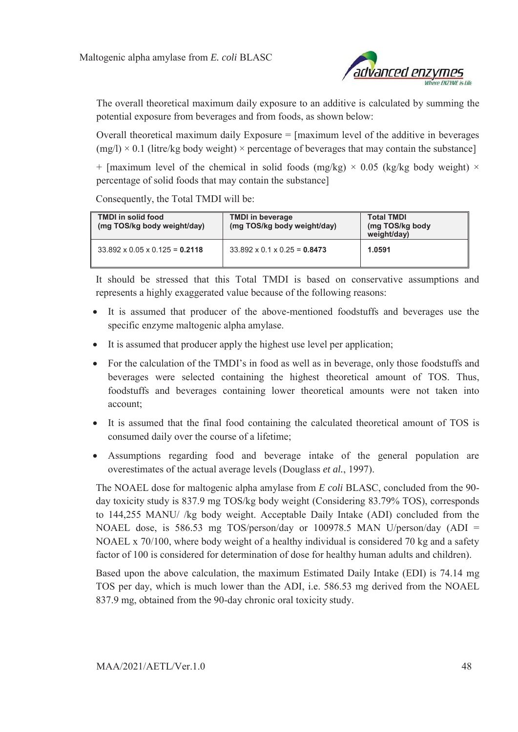

The overall theoretical maximum daily exposure to an additive is calculated by summing the potential exposure from beverages and from foods, as shown below:

Overall theoretical maximum daily Exposure = [maximum level of the additive in beverages  $(mg/l) \times 0.1$  (litre/kg body weight)  $\times$  percentage of beverages that may contain the substance]

+ [maximum level of the chemical in solid foods (mg/kg)  $\times$  0.05 (kg/kg body weight)  $\times$ percentage of solid foods that may contain the substance]

Consequently, the Total TMDI will be:

| <b>TMDI</b> in solid food<br>(mg TOS/kg body weight/day) | <b>TMDI</b> in beverage<br>(mg TOS/kg body weight/day) | <b>Total TMDI</b><br>(mg TOS/kg body<br>weight/day) |
|----------------------------------------------------------|--------------------------------------------------------|-----------------------------------------------------|
| $33.892 \times 0.05 \times 0.125 = 0.2118$               | $33.892 \times 0.1 \times 0.25 = 0.8473$               | 1.0591                                              |

It should be stressed that this Total TMDI is based on conservative assumptions and represents a highly exaggerated value because of the following reasons:

- It is assumed that producer of the above-mentioned foodstuffs and beverages use the specific enzyme maltogenic alpha amylase.
- It is assumed that producer apply the highest use level per application;
- For the calculation of the TMDI's in food as well as in beverage, only those foodstuffs and beverages were selected containing the highest theoretical amount of TOS. Thus, foodstuffs and beverages containing lower theoretical amounts were not taken into account;
- It is assumed that the final food containing the calculated theoretical amount of TOS is consumed daily over the course of a lifetime;
- Assumptions regarding food and beverage intake of the general population are overestimates of the actual average levels (Douglass *et al.*, 1997).

The NOAEL dose for maltogenic alpha amylase from *E coli* BLASC, concluded from the 90 day toxicity study is 837.9 mg TOS/kg body weight (Considering 83.79% TOS), corresponds to 144,255 MANU/ /kg body weight. Acceptable Daily Intake (ADI) concluded from the NOAEL dose, is 586.53 mg TOS/person/day or 100978.5 MAN U/person/day (ADI = NOAEL x 70/100, where body weight of a healthy individual is considered 70 kg and a safety factor of 100 is considered for determination of dose for healthy human adults and children).

Based upon the above calculation, the maximum Estimated Daily Intake (EDI) is 74.14 mg TOS per day, which is much lower than the ADI, i.e. 586.53 mg derived from the NOAEL 837.9 mg, obtained from the 90-day chronic oral toxicity study.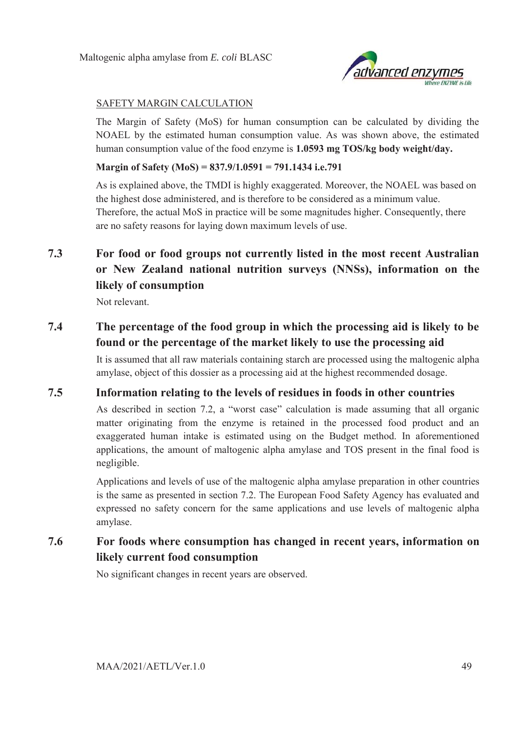

### SAFETY MARGIN CALCULATION

The Margin of Safety (MoS) for human consumption can be calculated by dividing the NOAEL by the estimated human consumption value. As was shown above, the estimated human consumption value of the food enzyme is **1.0593 mg TOS/kg body weight/day.** 

#### **Margin of Safety (MoS) = 837.9/1.0591 = 791.1434 i.e.791**

As is explained above, the TMDI is highly exaggerated. Moreover, the NOAEL was based on the highest dose administered, and is therefore to be considered as a minimum value. Therefore, the actual MoS in practice will be some magnitudes higher. Consequently, there are no safety reasons for laying down maximum levels of use.

# **7.3 For food or food groups not currently listed in the most recent Australian or New Zealand national nutrition surveys (NNSs), information on the likely of consumption**

Not relevant.

# **7.4 The percentage of the food group in which the processing aid is likely to be found or the percentage of the market likely to use the processing aid**

It is assumed that all raw materials containing starch are processed using the maltogenic alpha amylase, object of this dossier as a processing aid at the highest recommended dosage.

# **7.5 Information relating to the levels of residues in foods in other countries**

As described in section 7.2, a "worst case" calculation is made assuming that all organic matter originating from the enzyme is retained in the processed food product and an exaggerated human intake is estimated using on the Budget method. In aforementioned applications, the amount of maltogenic alpha amylase and TOS present in the final food is negligible.

Applications and levels of use of the maltogenic alpha amylase preparation in other countries is the same as presented in section 7.2. The European Food Safety Agency has evaluated and expressed no safety concern for the same applications and use levels of maltogenic alpha amylase.

# **7.6 For foods where consumption has changed in recent years, information on likely current food consumption**

No significant changes in recent years are observed.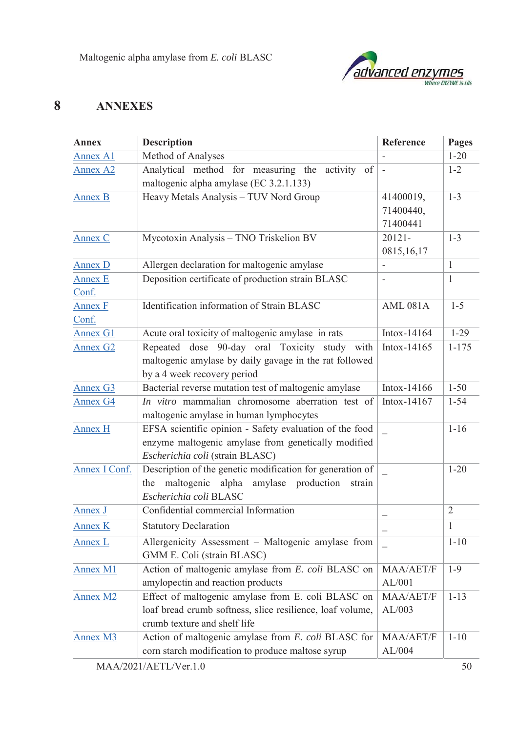

# **8 ANNEXES**

| <b>Annex</b>            | <b>Description</b>                                                                                                                                | Reference                          | Pages          |
|-------------------------|---------------------------------------------------------------------------------------------------------------------------------------------------|------------------------------------|----------------|
| Annex A1                | Method of Analyses                                                                                                                                |                                    | $1 - 20$       |
| <b>Annex A2</b>         | Analytical method for measuring the activity of<br>maltogenic alpha amylase (EC 3.2.1.133)                                                        |                                    | $1 - 2$        |
| <b>Annex B</b>          | Heavy Metals Analysis - TUV Nord Group                                                                                                            | 41400019,<br>71400440,<br>71400441 | $1 - 3$        |
| Annex C                 | Mycotoxin Analysis - TNO Triskelion BV                                                                                                            | 20121-<br>0815,16,17               | $1 - 3$        |
| Annex D                 | Allergen declaration for maltogenic amylase                                                                                                       |                                    | $\mathbf{1}$   |
| <b>Annex E</b><br>Conf. | Deposition certificate of production strain BLASC                                                                                                 |                                    | $\mathbf{1}$   |
| <b>Annex F</b><br>Conf. | Identification information of Strain BLASC                                                                                                        | <b>AML 081A</b>                    | $1 - 5$        |
| Annex G1                | Acute oral toxicity of maltogenic amylase in rats                                                                                                 | Intox-14164                        | $1-29$         |
| <b>Annex G2</b>         | Repeated dose 90-day oral Toxicity study with<br>maltogenic amylase by daily gavage in the rat followed<br>by a 4 week recovery period            | Intox-14165                        | $1 - 175$      |
| <b>Annex G3</b>         | Bacterial reverse mutation test of maltogenic amylase                                                                                             | Intox-14166                        | $1 - 50$       |
| <b>Annex G4</b>         | In vitro mammalian chromosome aberration test of<br>maltogenic amylase in human lymphocytes                                                       | Intox-14167                        | $1 - 54$       |
| <b>Annex H</b>          | EFSA scientific opinion - Safety evaluation of the food<br>enzyme maltogenic amylase from genetically modified<br>Escherichia coli (strain BLASC) |                                    | $1 - 16$       |
| Annex I Conf.           | Description of the genetic modification for generation of<br>the maltogenic alpha amylase production strain<br>Escherichia coli BLASC             |                                    | $1 - 20$       |
| Annex J                 | Confidential commercial Information                                                                                                               |                                    | $\overline{2}$ |
| Annex K                 | <b>Statutory Declaration</b>                                                                                                                      |                                    | $\mathbf{1}$   |
| Annex L                 | Allergenicity Assessment - Maltogenic amylase from<br>GMM E. Coli (strain BLASC)                                                                  |                                    | $1 - 10$       |
| <b>Annex M1</b>         | Action of maltogenic amylase from E. coli BLASC on<br>amylopectin and reaction products                                                           | MAA/AET/F<br>AL/001                | $1-9$          |
| <b>Annex M2</b>         | Effect of maltogenic amylase from E. coli BLASC on<br>loaf bread crumb softness, slice resilience, loaf volume,<br>crumb texture and shelf life   | MAA/AET/F<br>AL/003                | $1 - 13$       |
| Annex M3                | Action of maltogenic amylase from E. coli BLASC for<br>corn starch modification to produce maltose syrup                                          | MAA/AET/F<br>AL/004                | $1 - 10$       |
|                         | MAA/2021/AETL/Ver.1.0                                                                                                                             |                                    | 50             |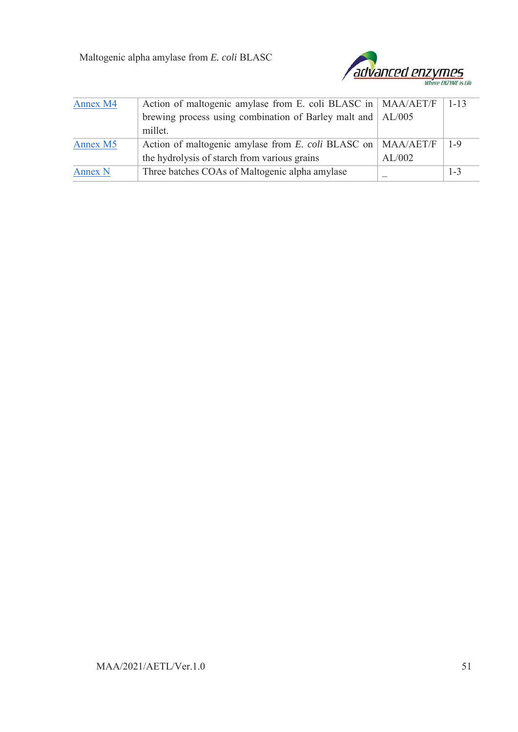

| Annex M4 | Action of maltogenic amylase from E. coli BLASC in   MAA/AET/F |        | $1 - 13$ |
|----------|----------------------------------------------------------------|--------|----------|
|          | brewing process using combination of Barley malt and   AL/005  |        |          |
|          | millet.                                                        |        |          |
| Annex M5 | Action of maltogenic amylase from E. coli BLASC on   MAA/AET/F |        | $1 - 9$  |
|          | the hydrolysis of starch from various grains                   | AL/002 |          |
| Annex N  | Three batches COAs of Maltogenic alpha amylase                 |        | $1 - 3$  |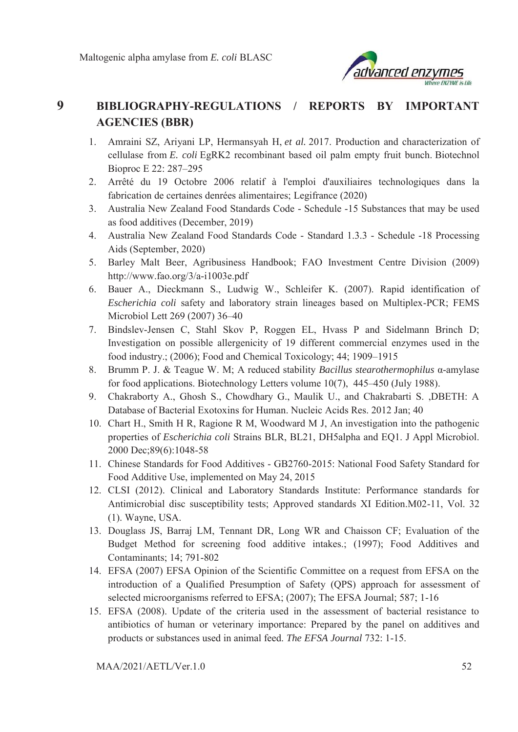

# **9 BIBLIOGRAPHY-REGULATIONS / REPORTS BY IMPORTANT AGENCIES (BBR)**

- 1. Amraini SZ, Ariyani LP, Hermansyah H, *et al.* 2017. Production and characterization of cellulase from *E. coli* EgRK2 recombinant based oil palm empty fruit bunch. Biotechnol Bioproc E 22: 287–295
- 2. Arrêté du 19 Octobre 2006 relatif à l'emploi d'auxiliaires technologiques dans la fabrication de certaines denrées alimentaires; Legifrance (2020)
- 3. Australia New Zealand Food Standards Code Schedule -15 Substances that may be used as food additives (December, 2019)
- 4. Australia New Zealand Food Standards Code Standard 1.3.3 Schedule -18 Processing Aids (September, 2020)
- 5. Barley Malt Beer, Agribusiness Handbook; FAO Investment Centre Division (2009) http://www.fao.org/3/a-i1003e.pdf
- 6. Bauer A., Dieckmann S., Ludwig W., Schleifer K. (2007). Rapid identification of *Escherichia coli* safety and laboratory strain lineages based on Multiplex-PCR; FEMS Microbiol Lett 269 (2007) 36–40
- 7. Bindslev-Jensen C, Stahl Skov P, Roggen EL, Hvass P and Sidelmann Brinch D; Investigation on possible allergenicity of 19 different commercial enzymes used in the food industry.; (2006); Food and Chemical Toxicology; 44; 1909–1915
- 8. Brumm P. J. & Teague W. M; A reduced stability *Bacillus stearothermophilus* α-amylase for food applications. Biotechnology Letters volume 10(7), 445–450 (July 1988).
- 9. Chakraborty A., Ghosh S., Chowdhary G., Maulik U., and Chakrabarti S. ,DBETH: A Database of Bacterial Exotoxins for Human. Nucleic Acids Res. 2012 Jan; 40
- 10. Chart H., Smith H R, Ragione R M, Woodward M J, An investigation into the pathogenic properties of *Escherichia coli* Strains BLR, BL21, DH5alpha and EQ1. J Appl Microbiol. 2000 Dec;89(6):1048-58
- 11. Chinese Standards for Food Additives GB2760-2015: National Food Safety Standard for Food Additive Use, implemented on May 24, 2015
- 12. CLSI (2012). Clinical and Laboratory Standards Institute: Performance standards for Antimicrobial disc susceptibility tests; Approved standards XI Edition.M02-11, Vol. 32 (1). Wayne, USA.
- 13. Douglass JS, Barraj LM, Tennant DR, Long WR and Chaisson CF; Evaluation of the Budget Method for screening food additive intakes.; (1997); Food Additives and Contaminants; 14; 791-802
- 14. EFSA (2007) EFSA Opinion of the Scientific Committee on a request from EFSA on the introduction of a Qualified Presumption of Safety (QPS) approach for assessment of selected microorganisms referred to EFSA; (2007); The EFSA Journal; 587; 1-16
- 15. EFSA (2008). Update of the criteria used in the assessment of bacterial resistance to antibiotics of human or veterinary importance: Prepared by the panel on additives and products or substances used in animal feed. *The EFSA Journal* 732: 1-15.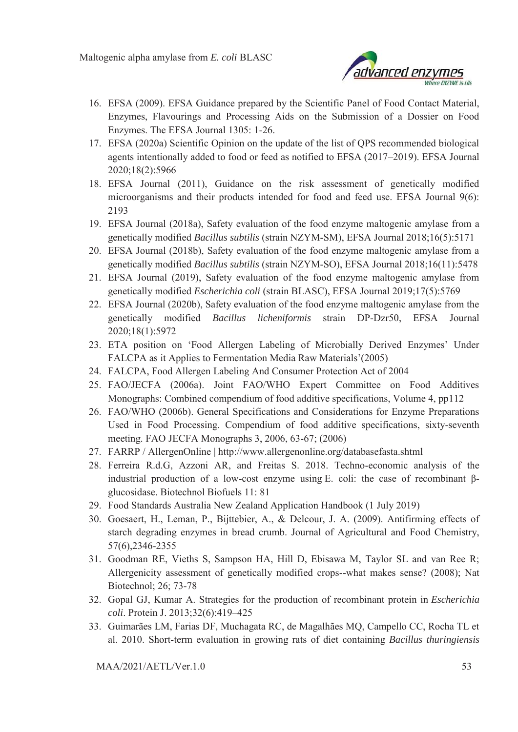

- 16. EFSA (2009). EFSA Guidance prepared by the Scientific Panel of Food Contact Material, Enzymes, Flavourings and Processing Aids on the Submission of a Dossier on Food Enzymes. The EFSA Journal 1305: 1-26.
- 17. EFSA (2020a) Scientific Opinion on the update of the list of QPS recommended biological agents intentionally added to food or feed as notified to EFSA (2017–2019). EFSA Journal 2020;18(2):5966
- 18. EFSA Journal (2011), Guidance on the risk assessment of genetically modified microorganisms and their products intended for food and feed use. EFSA Journal 9(6): 2193
- 19. EFSA Journal (2018a), Safety evaluation of the food enzyme maltogenic amylase from a genetically modified *Bacillus subtilis* (strain NZYM‐SM), EFSA Journal 2018;16(5):5171
- 20. EFSA Journal (2018b), Safety evaluation of the food enzyme maltogenic amylase from a genetically modified *Bacillus subtilis* (strain NZYM‐SO), EFSA Journal 2018;16(11):5478
- 21. EFSA Journal (2019), Safety evaluation of the food enzyme maltogenic amylase from genetically modified *Escherichia coli* (strain BLASC), EFSA Journal 2019;17(5):5769
- 22. EFSA Journal (2020b), Safety evaluation of the food enzyme maltogenic amylase from the genetically modified *Bacillus licheniformis* strain DP‐Dzr50, EFSA Journal 2020;18(1):5972
- 23. ETA position on 'Food Allergen Labeling of Microbially Derived Enzymes' Under FALCPA as it Applies to Fermentation Media Raw Materials'(2005)
- 24. FALCPA, Food Allergen Labeling And Consumer Protection Act of 2004
- 25. FAO/JECFA (2006a). Joint FAO/WHO Expert Committee on Food Additives Monographs: Combined compendium of food additive specifications, Volume 4, pp112
- 26. FAO/WHO (2006b). General Specifications and Considerations for Enzyme Preparations Used in Food Processing. Compendium of food additive specifications, sixty-seventh meeting. FAO JECFA Monographs 3, 2006, 63-67; (2006)
- 27. FARRP / AllergenOnline | http://www.allergenonline.org/databasefasta.shtml
- 28. Ferreira R.d.G, Azzoni AR, and Freitas S. 2018. Techno-economic analysis of the industrial production of a low-cost enzyme using E. coli: the case of recombinant βglucosidase. Biotechnol Biofuels 11: 81
- 29. Food Standards Australia New Zealand Application Handbook (1 July 2019)
- 30. Goesaert, H., Leman, P., Bijttebier, A., & Delcour, J. A. (2009). Antifirming effects of starch degrading enzymes in bread crumb. Journal of Agricultural and Food Chemistry, 57(6),2346-2355
- 31. Goodman RE, Vieths S, Sampson HA, Hill D, Ebisawa M, Taylor SL and van Ree R; Allergenicity assessment of genetically modified crops--what makes sense? (2008); Nat Biotechnol; 26; 73-78
- 32. Gopal GJ, Kumar A. Strategies for the production of recombinant protein in *Escherichia coli*. Protein J. 2013;32(6):419–425
- 33. Guimarães LM, Farias DF, Muchagata RC, de Magalhães MQ, Campello CC, Rocha TL et al. 2010. Short-term evaluation in growing rats of diet containing *Bacillus thuringiensis*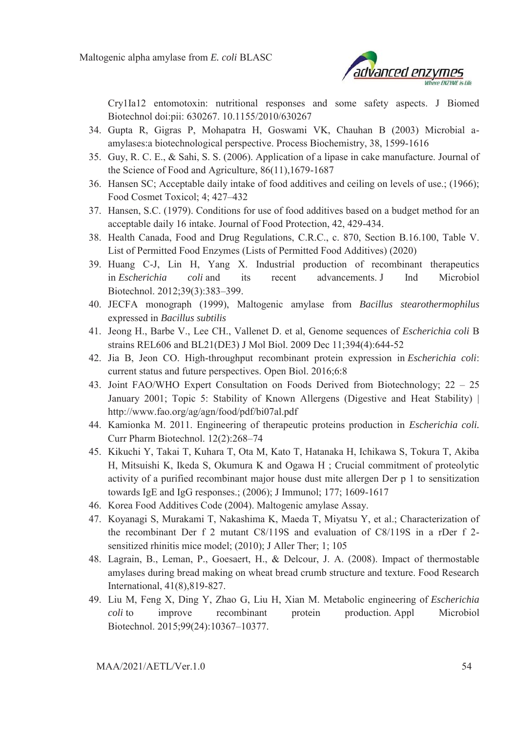

Cry1Ia12 entomotoxin: nutritional responses and some safety aspects. J Biomed Biotechnol doi:pii: 630267. 10.1155/2010/630267

- 34. Gupta R, Gigras P, Mohapatra H, Goswami VK, Chauhan B (2003) Microbial aamylases:a biotechnological perspective. Process Biochemistry, 38, 1599-1616
- 35. Guy, R. C. E., & Sahi, S. S. (2006). Application of a lipase in cake manufacture. Journal of the Science of Food and Agriculture, 86(11),1679-1687
- 36. Hansen SC; Acceptable daily intake of food additives and ceiling on levels of use.; (1966); Food Cosmet Toxicol; 4; 427–432
- 37. Hansen, S.C. (1979). Conditions for use of food additives based on a budget method for an acceptable daily 16 intake. Journal of Food Protection, 42, 429-434.
- 38. Health Canada, Food and Drug Regulations, C.R.C., c. 870, Section B.16.100, Table V. List of Permitted Food Enzymes (Lists of Permitted Food Additives) (2020)
- 39. Huang C-J, Lin H, Yang X. Industrial production of recombinant therapeutics in *Escherichia coli* and its recent advancements. J Ind Microbiol Biotechnol. 2012;39(3):383–399.
- 40. JECFA monograph (1999), Maltogenic amylase from *Bacillus stearothermophilus* expressed in *Bacillus subtilis*
- 41. Jeong H., Barbe V., Lee CH., Vallenet D. et al, Genome sequences of *Escherichia coli* B strains REL606 and BL21(DE3) J Mol Biol. 2009 Dec 11;394(4):644-52
- 42. Jia B, Jeon CO. High-throughput recombinant protein expression in *Escherichia coli*: current status and future perspectives. Open Biol. 2016;6:8
- 43. Joint FAO/WHO Expert Consultation on Foods Derived from Biotechnology; 22 25 January 2001; Topic 5: Stability of Known Allergens (Digestive and Heat Stability) | http://www.fao.org/ag/agn/food/pdf/bi07al.pdf
- 44. Kamionka M. 2011. Engineering of therapeutic proteins production in *Escherichia coli.* Curr Pharm Biotechnol. 12(2):268–74
- 45. Kikuchi Y, Takai T, Kuhara T, Ota M, Kato T, Hatanaka H, Ichikawa S, Tokura T, Akiba H, Mitsuishi K, Ikeda S, Okumura K and Ogawa H ; Crucial commitment of proteolytic activity of a purified recombinant major house dust mite allergen Der p 1 to sensitization towards IgE and IgG responses.; (2006); J Immunol; 177; 1609-1617
- 46. Korea Food Additives Code (2004). Maltogenic amylase Assay.
- 47. Koyanagi S, Murakami T, Nakashima K, Maeda T, Miyatsu Y, et al.; Characterization of the recombinant Der f 2 mutant C8/119S and evaluation of C8/119S in a rDer f 2 sensitized rhinitis mice model; (2010); J Aller Ther; 1; 105
- 48. Lagrain, B., Leman, P., Goesaert, H., & Delcour, J. A. (2008). Impact of thermostable amylases during bread making on wheat bread crumb structure and texture. Food Research International, 41(8),819-827.
- 49. Liu M, Feng X, Ding Y, Zhao G, Liu H, Xian M. Metabolic engineering of *Escherichia coli* to improve recombinant protein production. Appl Microbiol Biotechnol. 2015;99(24):10367–10377.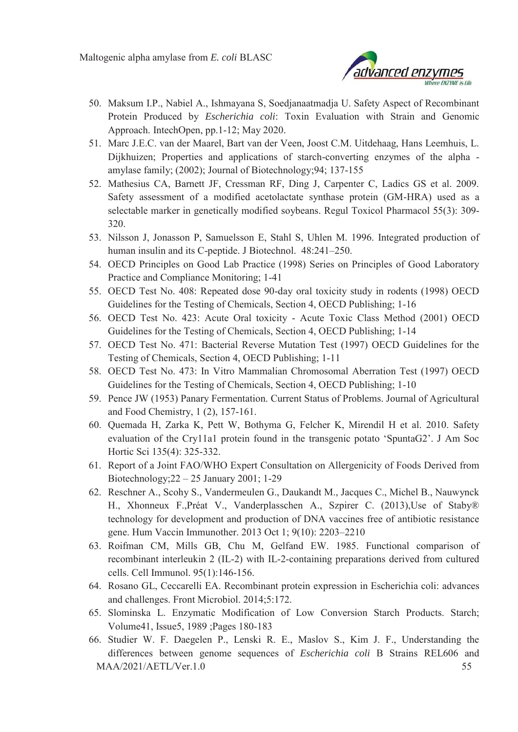

- 50. Maksum I.P., Nabiel A., Ishmayana S, Soedjanaatmadja U. Safety Aspect of Recombinant Protein Produced by *Escherichia coli*: Toxin Evaluation with Strain and Genomic Approach. IntechOpen, pp.1-12; May 2020.
- 51. Marc J.E.C. van der Maarel, Bart van der Veen, Joost C.M. Uitdehaag, Hans Leemhuis, L. Dijkhuizen; Properties and applications of starch-converting enzymes of the alpha amylase family; (2002); Journal of Biotechnology;94; 137-155
- 52. Mathesius CA, Barnett JF, Cressman RF, Ding J, Carpenter C, Ladics GS et al. 2009. Safety assessment of a modified acetolactate synthase protein (GM-HRA) used as a selectable marker in genetically modified soybeans. Regul Toxicol Pharmacol 55(3): 309- 320.
- 53. Nilsson J, Jonasson P, Samuelsson E, Stahl S, Uhlen M. 1996. Integrated production of human insulin and its C-peptide. J Biotechnol. 48:241–250.
- 54. OECD Principles on Good Lab Practice (1998) Series on Principles of Good Laboratory Practice and Compliance Monitoring; 1-41
- 55. OECD Test No. 408: Repeated dose 90-day oral toxicity study in rodents (1998) OECD Guidelines for the Testing of Chemicals, Section 4, OECD Publishing; 1-16
- 56. OECD Test No. 423: Acute Oral toxicity Acute Toxic Class Method (2001) OECD Guidelines for the Testing of Chemicals, Section 4, OECD Publishing; 1-14
- 57. OECD Test No. 471: Bacterial Reverse Mutation Test (1997) OECD Guidelines for the Testing of Chemicals, Section 4, OECD Publishing; 1-11
- 58. OECD Test No. 473: In Vitro Mammalian Chromosomal Aberration Test (1997) OECD Guidelines for the Testing of Chemicals, Section 4, OECD Publishing; 1-10
- 59. Pence JW (1953) Panary Fermentation. Current Status of Problems. Journal of Agricultural and Food Chemistry, 1 (2), 157-161.
- 60. Quemada H, Zarka K, Pett W, Bothyma G, Felcher K, Mirendil H et al. 2010. Safety evaluation of the Cry11a1 protein found in the transgenic potato 'SpuntaG2'. J Am Soc Hortic Sci 135(4): 325-332.
- 61. Report of a Joint FAO/WHO Expert Consultation on Allergenicity of Foods Derived from Biotechnology;22 – 25 January 2001; 1-29
- 62. Reschner A., Scohy S., Vandermeulen G., Daukandt M., Jacques C., Michel B., Nauwynck H., Xhonneux F.,Préat V., Vanderplasschen A., Szpirer C. (2013),Use of Staby® technology for development and production of DNA vaccines free of antibiotic resistance gene. Hum Vaccin Immunother. 2013 Oct 1; 9(10): 2203–2210
- 63. Roifman CM, Mills GB, Chu M, Gelfand EW. 1985. Functional comparison of recombinant interleukin 2 (IL-2) with IL-2-containing preparations derived from cultured cells. Cell Immunol. 95(1):146-156.
- 64. Rosano GL, Ceccarelli EA. Recombinant protein expression in Escherichia coli: advances and challenges. Front Microbiol. 2014;5:172.
- 65. Slominska L. Enzymatic Modification of Low Conversion Starch Products. Starch; Volume41, Issue5, 1989 ;Pages 180-183
- MAA/2021/AETL/Ver.1.0 55 66. Studier W. F. Daegelen P., Lenski R. E., Maslov S., Kim J. F., Understanding the differences between genome sequences of *Escherichia coli* B Strains REL606 and